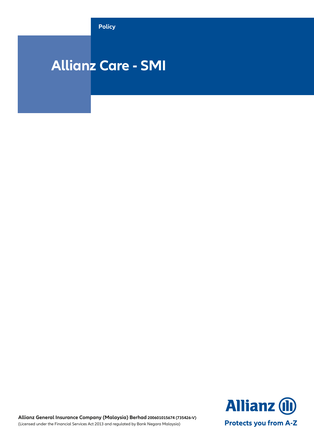**Policy**

# **Allianz Care - SMI**

**Allianz (II) Protects you from A-Z** 

**Allianz General Insurance Company (Malaysia) Berhad 200601015674 (735426-V)** (Licensed under the Financial Services Act 2013 and regulated by Bank Negara Malaysia)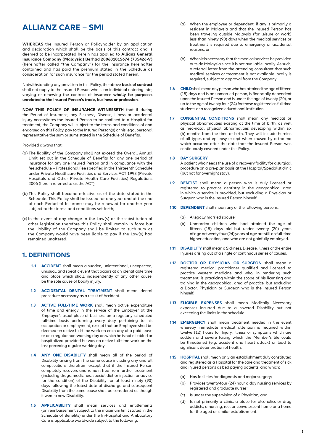# **ALLIANZ CARE – SMI**

**WHEREAS** the Insured Person or Policyholder by an application and declaration which shall be the basis of this contract and is deemed to be incorporated herein has applied to **Allianz General Insurance Company (Malaysia) Berhad 200601015674 (735426-V)** (hereinafter called "the Company") for the insurance hereinafter contained and has paid the premium stated in the Schedule as consideration for such insurance for the period stated herein.

Notwithstanding any provision in this Policy, the above **basis of contract** shall not apply to the Insured Person who is an individual entering into, varying or renewing the contract of insurance **wholly for purposes unrelated to the Insured Person's trade, business or profession**.

**NOW THIS POLICY OF INSURANCE WITNESSETH** that if during the Period of Insurance, any Sickness, Disease, Illness or accidental injury necessitates the Insured Person to be confined to a Hospital for treatment, the Company will subject to the terms and conditions of and endorsed on this Policy, pay to the Insured Person(s) or his legal personal representative the sum or sums stated in the Schedule of Benefits.

#### Provided always that:

- (a) The liability of the Company shall not exceed the Overall Annual Limit set out in the Schedule of Benefits for any one period of insurance for any one Insured Person and in compliance with the fee schedule – Professional Fee specified in the Thirteenth Schedule under Private Healthcare Facilities and Services ACT 1998 (Private Hospitals and Other Private Health Care Facilities) Regulations 2006 (herein referred to as the ACT);
- (b) This Policy shall become effective as of the date stated in the Schedule. This Policy shall be issued for one year and at the end of each Period of Insurance may be renewed for another year subject to the terms and conditions set forth;
- (c) In the event of any change in the Law(s) or the substitution of other legislation therefore this Policy shall remain in force but the liability of the Company shall be limited to such sum as the Company would have been liable to pay if the Law(s) had remained unaltered.

### **1. DEFINITIONS**

- **1.1 ACCIDENT** shall mean a sudden, unintentional, unexpected, unusual, and specific event that occurs at an identifiable time and place which shall, independently of any other cause, be the sole cause of bodily injury.
- **1.2 ACCIDENTAL DENTAL TREATMENT** shall mean dental procedure necessary as a result of Accident.
- **1.3 ACTIVE FULL-TIME WORK** shall mean active expenditure of time and energy in the service of the Employer at the Employer's usual place of business on a regularly scheduled full-time basis performing every duty pertaining to his occupation or employment, except that an Employee shall be deemed on active full-time work on each day of a paid leave or on a regular non-working day on which he is not disabled or hospitalized provided he was on active full-time work on the last preceding regular working day.
- **1.4 ANY ONE DISABILITY** shall mean all of the period of Disability arising from the same cause including any and all complications therefrom except that if the Insured Person completely recovers and remain free from further treatment (including drugs, medicines, special diet or injection or advice for the condition) of the Disability for at least ninety (90) days following the latest date of discharge and subsequent Disability from the same cause shall be considered as though it were a new Disability.
- **1.5 APPLICABILITY** shall mean services and entitlements (on reimbursement subject to the maximum limit stated in the Schedule of Benefits) under the In-Hospital and Ambulatory Care is applicable worldwide subject to the following:
- (a) When the employee or dependent, if any is primarily a resident in Malaysia and that the Insured Person has been traveling outside Malaysia (for leisure or work) less than ninety (90) days when the medical services or treatment is required due to emergency or accidental reasons; or
- (b) When it is necessary that the medical services be provided outside Malaysia since it is not available locally. As such, a referral letter from the attending consultant that such medical services or treatment is not available locally is required, subject to approval from the Company.
- **1.6 CHILD** shall mean any person who has attained the age of fifteen (15) days and is an unmarried person, is financially dependent upon the Insured Person and is under the age of twenty (20), or up to the age of twenty four (24) for those registered as full time students at a recognized educational institution.
- **1.7 CONGENITAL CONDITIONS** shall mean any medical or physical abnormalities existing at the time of birth, as well as neo-natal physical abnormalities developing within six (6) months from the time of birth. They will include hernias of all types and epilepsy except when caused by a trauma which occurred after the date that the Insured Person was continuously covered under this Policy.

#### **1.8 DAY SURGERY**

 A patient who needs the use of a recovery facility for a surgical procedure on a pre-plan basis at the Hospital/Specialist clinic (but not for overnight stay).

- **1.9 DENTIST** shall mean a person who is duly licensed or registered to practice dentistry in the geographical area in which a service is provided, but excluding a Physician or Surgeon who is the Insured Person himself.
- **1.10 DEPENDENT** shall mean any of the following persons:
	- (a) A legally married spouse;
	- (b) Unmarried children who had attained the age of fifteen (15) days old but under twenty (20) years of age or twenty four (24) years of age are still on full-time higher education, and who are not gainfully employed.
- **1.11 DISABILITY** shall mean a Sickness, Disease, Illness or the entire Injuries arising out of a single or continuous series of causes.
- **1.12 DOCTOR OR PHYSICIAN OR SURGEON** shall mean a registered medical practitioner qualified and licensed to practice western medicine and who, in rendering such treatment, is practicing within the scope of his licensing and training in the geographical area of practice, but excluding a Doctor, Physician or Surgeon who is the Insured Person himself.
- **1.13 ELIGIBLE EXPENSES** shall mean Medically Necessary expenses incurred due to a covered Disability but not exceeding the limits in the schedule.
- **1.14 EMERGENCY** shall mean treatment needed in the event whereby immediate medical attention is required within twelve (12) hours for Injury, Illness or symptoms which are sudden and severe failing which the Member's life could be threatened (e.g. accident and heart attack) or lead to significant deterioration of health.
- **1.15 HOSPITAL** shall mean only an establishment duly constituted and registered as a Hospital for the care and treatment of sick and injured persons as bed paying patients, and which:
	- (a) Has facilities for diagnosis and major surgery;
	- (b) Provides twenty-four (24) hour a day nursing services by registered and graduate nurses;
	- (c) Is under the supervision of a Physician; and
	- (d) Is not primarily a clinic; a place for alcoholics or drug addicts; a nursing, rest or convalescent home or a home for the aged or similar establishment.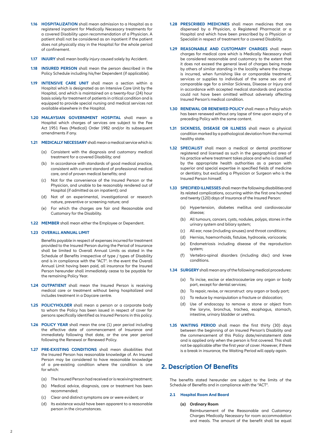- **1.16 HOSPITALIZATION** shall mean admission to a Hospital as a registered inpatient for Medically Necessary treatments for a covered Disability upon recommendation of a Physician. A patient shall not be considered as an inpatient if the patient does not physically stay in the Hospital for the whole period of confinement.
- **1.17 INJURY** shall mean bodily injury caused solely by Accident.
- **1.18 INSURED PERSON** shall mean the person described in the Policy Schedule including his/her Dependent (if applicable).
- **1.19 INTENSIVE CARE UNIT** shall mean a section within a Hospital which is designated as an Intensive Care Unit by the Hospital, and which is maintained on a twenty-four (24) hour basis solely for treatment of patients in critical condition and is equipped to provide special nursing and medical services not available elsewhere in the Hospital.
- **1.20 MALAYSIAN GOVERNMENT HOSPITAL** shall mean a Hospital which charges of services are subject to the Fee Act 1951 Fees (Medical) Order 1982 and/or its subsequent amendments if any.
- **1.21 MEDICALLY NECESSARY**shall mean a medical service which is:
	- (a) Consistent with the diagnosis and customary medical treatment for a covered Disability; and
	- (b) In accordance with standards of good medical practice, consistent with current standard of professional medical care, and of proven medical benefits; and
	- Not for the convenience of the Insured Person or the Physician, and unable to be reasonably rendered out of Hospital (if admitted as an inpatient); and
	- (d) Not of an experimental, investigational or research nature, preventive or screening nature; and
	- (e) For which the charges are fair and Reasonable and Customary for the Disability.
- **1.22 MEMBER** shall mean either the Employee or Dependent.

#### **1.23 OVERALL ANNUAL LIMIT**

Benefits payable in respect of expenses incurred for treatment provided to the Insured Person during the Period of Insurance shall be limited to Overall Annual Limits as stated in the Schedule of Benefits irrespective of type / types of Disability and is in compliance with the "ACT". In the event the Overall Annual Limit having been paid, all insurance for the Insured Person hereunder shall immediately cease to be payable for the remaining Policy Year.

- **1.24 OUTPATIENT** shall mean the Insured Person is receiving medical care or treatment without being hospitalized and includes treatment in a Daycare centre.
- **1.25 POLICYHOLDER** shall mean a person or a corporate body to whom the Policy has been issued in respect of cover for persons specifically identified as Insured Persons in this policy.
- **1.26 POLICY YEAR** shall mean the one (1) year period including the effective date of commencement of Insurance and immediately following that date, or the one year period following the Renewal or Renewed Policy.
- **1.27 PRE-EXISTING CONDITIONS** shall mean disabilities that the Insured Person has reasonable knowledge of. An Insured Person may be considered to have reasonable knowledge of a pre-existing condition where the condition is one for which:
	- (a) The Insured Person had received or is receiving treatment;
	- (b) Medical advice, diagnosis, care or treatment has been recommended;
	- (c) Clear and distinct symptoms are or were evident; or
	- (d) Its existence would have been apparent to a reasonable person in the circumstances.
- **1.28 PRESCRIBED MEDICINES** shall mean medicines that are dispensed by a Physician, a Registered Pharmacist or a Hospital and which have been prescribed by a Physician or Specialist in respect of treatment for a covered Disability.
- **1.29 REASONABLE AND CUSTOMARY CHARGES** shall mean charges for medical care which is Medically Necessary shall be considered reasonable and customary to the extent that it does not exceed the general level of charges being made by others of similar standing in the locality where the charge is incurred, when furnishing like or comparable treatment, services or supplies to individual of the same sex and of comparable age for a similar Sickness, Disease or Injury and in accordance with accepted medical standards and practice could not have been omitted without adversely affecting Insured Person's medical condition.
- **1.30 RENEWAL OR RENEWED POLICY** shall mean a Policy which has been renewed without any lapse of time upon expiry of a preceding Policy with the same content.
- **1.31 SICKNESS, DISEASE OR ILLNESS** shall mean a physical condition marked by a pathological deviation from the normal healthy state.
- **1.32 SPECIALIST** shall mean a medical or dental practitioner registered and licensed as such in the geographical area of his practice where treatment takes place and who is classified by the appropriate health authorities as a person with superior and special expertise in specified fields of medicine or dentistry, but excluding a Physician or Surgeon who is the Insured Person himself.
- **1.33 SPECIFIED ILLNESSES** shall mean the following disabilities and its related complications, occurring within the first one hundred and twenty (120) days of Insurance of the Insured Person:
	- (a) Hypertension, diabetes mellitus and cardiovascular disease;
	- (b) All tumours, cancers, cysts, nodules, polyps, stones in the urinary system and biliary system;
	- (c) All ear, nose (including sinuses) and throat conditions;
	- (d) Hernias, haemorrhoids, fistulae, hydrocele, varicocele;
	- (e) Endometriosis including disease of the reproduction system;
	- (f) Vertebro-spinal disorders (including disc) and knee conditions.
- **1.34 SURGERY**shall mean any of the following medical procedures:
	- (a) To incise, excise or electrocauterize any organ or body part, except for dental services;
	- (b) To repair, revise, or reconstruct any organ or body part;
	- (c) To reduce by manipulation a fracture or dislocation;
	- (d) Use of endoscopy to remove a stone or object from the larynx, bronchus, trachea, esophagus, stomach, intestine, urinary bladder or urethra.
- **1.35 WAITING PERIOD** shall mean the first thirty (30) days between the beginning of an Insured Person's Disability and the commencement of this Policy date/reinstatement date and is applied only when the person is first covered. This shall not be applicable after the first year of cover. However, if there is a break in insurance, the Waiting Period will apply again.

### **2. Description Of Benefits**

The benefits stated hereunder are subject to the limits of the Schedule of Benefits and in compliance with the "ACT".

#### **2.1 Hospital Room And Board**

**(a) Ordinary Room** 

 Reimbursement of the Reasonable and Customary Charges Medically Necessary for room accommodation and meals. The amount of the benefit shall be equal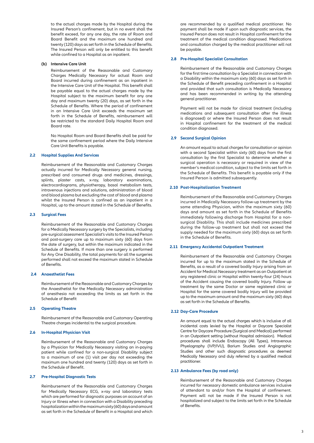to the actual charges made by the Hospital during the Insured Person's confinement, but in no event shall the benefit exceed, for any one day, the rate of Room and Board Benefit and the maximum one hundred and twenty (120) days as set forth in the Schedule of Benefits. The Insured Person will only be entitled to this benefit while confined to a Hospital as an inpatient.

#### **(b) Intensive Care Unit**

Reimbursement of the Reasonable and Customary Charges Medically Necessary for actual Room and Board incurred during confinement as an inpatient in the Intensive Care Unit of the Hospital. This benefit shall be payable equal to the actual charges made by the Hospital subject to the maximum benefit for any one day and maximum twenty (20) days, as set forth in the Schedule of Benefits. Where the period of confinement in an Intensive Care Unit exceeds the maximum set forth in the Schedule of Benefits, reimbursement will be restricted to the standard Daily Hospital Room and Board rate.

No Hospital Room and Board Benefits shall be paid for the same confinement period where the Daily Intensive Care Unit Benefits is payable.

#### **2.2 Hospital Supplies And Services**

Reimbursement of the Reasonable and Customary Charges actually incurred for Medically Necessary general nursing, prescribed and consumed drugs and medicines, dressings, splints, plaster casts, x-ray, laboratory examinations, electrocardiograms, physiotherapy, basal metabolism tests, intravenous injections and solutions, administration of blood and blood plasma but excluding the cost of blood and plasma whilst the Insured Person is confined as an inpatient in a Hospital, up to the amount stated in the Schedule of Benefits.

#### **2.3 Surgical Fees**

Reimbursement of the Reasonable and Customary Charges for a Medically Necessary surgery by the Specialists, including pre-surgical assessment Specialist's visits to the Insured Person and post-surgery care up to maximum sixty (60) days from the date of surgery, but within the maximum indicated in the Schedule of Benefits. If more than one surgery is performed for Any One Disability, the total payments for all the surgeries performed shall not exceed the maximum stated in Schedule of Benefits.

#### **2.4 Anaesthetist Fees**

Reimbursement of the Reasonable and Customary Charges by the Anaesthetist for the Medically Necessary administration of anesthesia not exceeding the limits as set forth in the Schedule of Benefit

#### **2.5 Operating Theatre**

Reimbursement of the Reasonable and Customary Operating Theatre charges incidental to the surgical procedure.

#### **2.6 In-Hospital Physician Visit**

Reimbursement of the Reasonable and Customary Charges by a Physician for Medically Necessary visiting an in-paying patient while confined for a non-surgical Disability subject to a maximum of one (1) visit per day not exceeding the maximum one hundred and twenty (120) days as set forth in the Schedule of Benefit.

#### **2.7 Pre-Hospital Diagnostic Tests**

Reimbursement of the Reasonable and Customary Charges for Medically Necessary ECG, x-ray and laboratory tests which are performed for diagnostic purposes on account of an Injury or Illness when in connection with a Disability preceding hospitalization within the maximum sixty (60) days and amount as set forth in the Schedule of Benefit in a Hospital and which

are recommended by a qualified medical practitioner. No payment shall be made if upon such diagnostic services, the Insured Person does not result in Hospital confinement for the treatment of the medical condition diagnosed. Medications and consultation charged by the medical practitioner will not be payable.

#### **2.8 Pre-Hospital Specialist Consultation**

Reimbursement of the Reasonable and Customary Charges for the first time consultation by a Specialist in connection with a Disability within the maximum sixty (60) days as set forth in the Schedule of Benefit preceding confinement in a Hospital and provided that such consultation is Medically Necessary and has been recommended in writing by the attending general practitioner.

 Payment will not be made for clinical treatment (including medications and subsequent consultation after the illness is diagnosed) or where the Insured Person does not result in Hospital confinement for the treatment of the medical condition diagnosed.

#### **2.9 Second Surgical Opinion**

 An amount equal to actual charges for consultation or opinion with a second Specialist within sixty (60) days from the first consultation by the first Specialist to determine whether a surgical operation is necessary or required in view of the member's medical condition, subject to the limits set forth in the Schedule of Benefits. This benefit is payable only if the Insured Person is admitted subsequently.

#### **2.10 Post-Hospitalization Treatment**

Reimbursement of the Reasonable and Customary Charges incurred in Medically Necessary follow-up treatment by the same attending Physician, within the maximum sixty (60) days and amount as set forth in the Schedule of Benefits immediately following discharge from Hospital for a nonsurgical Disability. This shall include medicines prescribed during the follow-up treatment but shall not exceed the supply needed for the maximum sixty (60) days as set forth in the Schedule of Benefits.

#### **2.11 Emergency Accidental Outpatient Treatment**

Reimbursement of the Reasonable and Customary Charges incurred for up to the maximum stated in the Schedule of Benefits, as a result of a covered bodily Injury arising from an Accident for Medical Necessary treatment as an Outpatient at any registered clinic or Hospital within twenty-four (24) hours of the Accident causing the covered bodily Injury. Follow up treatment by the same Doctor or same registered clinic or Hospital for the same covered bodily Injury will be provided up to the maximum amount and the maximum sixty (60) days as set forth in the Schedule of Benefits.

#### **2.12 Day-Care Procedure**

 An amount equal to the actual charges which is inclusive of all incidental costs levied by the Hospital or Daycare Specialist Centre for Daycare Procedure (Surgical and Medical) performed in an Outpatient setting (without Hospital admission). Medical procedures shall include Endoscopy (All Types), Intravenous Phyelography (IVP/IVU), Barium Studies and Angiographic Studies and other such diagnostic procedures as deemed Medically Necessary and duly referred by a qualified medical practitioner.

#### **2.13 Ambulance Fees (by road only)**

Reimbursement of the Reasonable and Customary Charges incurred for necessary domestic ambulance services inclusive of attendant to and/or from the Hospital of confinement. Payment will not be made if the Insured Person is not hospitalized and subject to the limits set forth in the Schedule of Benefits.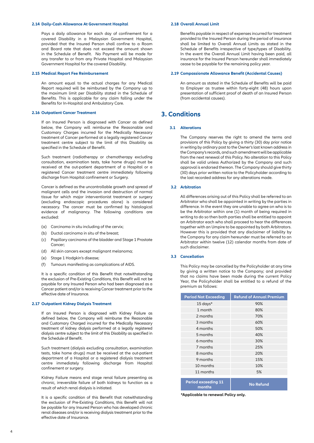#### **2.14 Daily-Cash Allowance At Government Hospital**

Pays a daily allowance for each day of confinement for a covered Disability in a Malaysian Government Hospital, provided that the Insured Person shall confine to a Room and Board rate that does not exceed the amount shown in the Schedule of Benefit. No Payment will be made for any transfer to or from any Private Hospital and Malaysian Government Hospital for the covered Disability.

#### **2.15 Medical Report Fee Reimbursement**

 An amount equal to the actual charges for any Medical Report required will be reimbursed by the Company up to the maximum limit per Disability stated in the Schedule of Benefits. This is applicable for any claim falling under the Benefits for In-Hospital and Ambulatory Care.

#### **2.16 Outpatient Cancer Treatment**

 If an Insured Person is diagnosed with Cancer as defined below, the Company will reimburse the Reasonable and Customary Charges incurred for the Medically Necessary treatment of Cancer performed at a legally registered Cancer treatment centre subject to the limit of this Disability as specified in the Schedule of Benefit.

 Such treatment (radiotherapy or chemotherapy excluding consultation, examination tests, take home drugs) must be received at the out-patient department of a Hospital or a registered Cancer treatment centre immediately following discharge from Hospital confinement or Surgery.

Cancer is defined as the uncontrollable growth and spread of malignant cells and the invasion and destruction of normal tissue for which major interventionist treatment or surgery (excluding endoscopic procedures alone) is considered necessary. The cancer must be confirmed by histological evidence of malignancy. The following conditions are excluded:

- (a) Carcinoma in situ including of the cervix;
- (b) Ductal carcinoma in situ of the breast;
- (c) Papillary carcinoma of the bladder and Stage 1 Prostate Cancer;
- (d) All skin cancers except malignant melanoma;
- (e) Stage 1 Hodgkin's disease;
- (f) Tumours manifesting as complications of AIDS.

It is a specific condition of this Benefit that notwithstanding the exclusion of Pre-Existing Conditions, this Benefit will not be payable for any Insured Person who had been diagnosed as a Cancer patient and/or is receiving Cancer treatment prior to the effective date of Insurance.

#### **2.17 Outpatient Kidney Dialysis Treatment**

 If an Insured Person is diagnosed with Kidney Failure as defined below, the Company will reimburse the Reasonable and Customary Charged incurred for the Medically Necessary treatment of kidney dialysis performed at a legally registered dialysis centre subject to the limit of this Disability as specified in the Schedule of Benefit.

 Such treatment (dialysis excluding consultation, examination tests, take home drugs) must be received at the out-patient department of a Hospital or a registered dialysis treatment centre immediately following discharge from Hospital confinement or surgery.

 Kidney Failure means end stage renal failure presenting as chronic, irreversible failure of both kidneys to function as a result of which renal dialysis is initiated.

 It is a specific condition of this Benefit that notwithstanding the exclusion of Pre-Existing Conditions, this Benefit will not be payable for any Insured Person who has developed chronic renal diseases and/or is receiving dialysis treatment prior to the effective date of Insurance.

#### **2.18 Overall Annual Limit**

Benefits payable in respect of expenses incurred for treatment provided to the Insured Person during the period of insurance shall be limited to Overall Annual Limits as stated in the Schedule of Benefits irrespective of type/types of Disability. In the event the Overall Annual Limit having been paid, all insurance for the Insured Person hereunder shall immediately cease to be payable for the remaining policy year.

#### **2.19 Compassionate Allowance Benefit (Accidental Causes)**

An amount as stated in the Schedule of Benefits will be paid to Employer as trustee within forty-eight (48) hours upon presentation of sufficient proof of death of an Insured Person (from accidental causes).

### **3. Conditions**

#### **3.1 Alterations**

 The Company reserves the right to amend the terms and provisions of this Policy by giving a thirty (30) day prior notice in writing by ordinary post to the Owner's last known address in the Company's records, and such amendment will be applicable from the next renewal of this Policy. No alteration to this Policy shall be valid unless Authorized by the Company and such approval is endorsed thereon. The Company should give thirty (30) days prior written notice to the Policyholder according to the last recorded address for any alterations made.

#### **3.2 Arbitration**

 All differences arising out of this Policy shall be referred to an Arbitrator who shall be appointed in writing by the parties in difference. In the event they are unable to agree on who is to be the Arbitrator within one (1) month of being required in writing to do so then both parties shall be entitled to appoint an Arbitrator each who shall proceed to hear the differences together with an Umpire to be appointed by both Arbitrators. However this is provided that any disclaimer of liability by the Company for any claim hereunder must be referred to an Arbitrator within twelve (12) calendar months from date of such disclaimer.

#### **3.3 Cancellation**

This Policy may be cancelled by the Policyholder at any time by giving a written notice to the Company; and provided that no claims have been made during the current Policy Year, the Policyholder shall be entitled to a refund of the premium as follows:

| <b>Period Not Exceeding</b>          | <b>Refund of Annual Premium</b> |
|--------------------------------------|---------------------------------|
| $15$ days*                           | 90%                             |
| 1 month                              | 80%                             |
| 2 months                             | 70%                             |
| 3 months                             | 60%                             |
| 4 months                             | 50%                             |
| 5 months                             | 40%                             |
| 6 months                             | 30%                             |
| 7 months                             | 25%                             |
| 8 months                             | 20%                             |
| 9 months                             | 15%                             |
| 10 months                            | 10%                             |
| 11 months                            | 5%                              |
| <b>Period exceeding 11</b><br>months | <b>No Refund</b>                |

**\*Applicable to renewal Policy only.**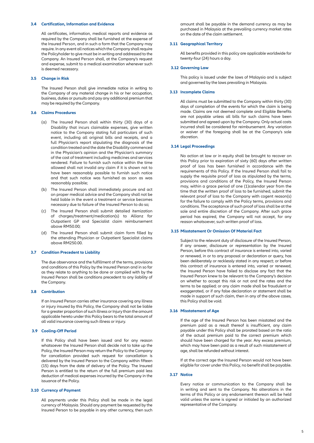#### **3.4 Certification, Information and Evidence**

All certificates, information, medical reports and evidence as required by the Company shall be furnished at the expense of the Insured Person, and in such a form that the Company may require. In any event all notices which the Company shall require the Policyholder to give must be in writing and addressed to the Company. An Insured Person shall, at the Company's request and expense, submit to a medical examination whenever such is deemed necessary.

#### **3.5 Change in Risk**

The Insured Person shall give immediate notice in writing to the Company of any material change in his or her occupation, business, duties or pursuits and pay any additional premium that may be required by the Company.

#### **3.6 Claims Procedures**

- (a) The Insured Person shall within thirty (30) days of a Disability that incurs claimable expenses, give written notice to the Company stating full particulars of such event, including all original bills and receipts, and a full Physician's report stipulating the diagnosis of the condition treated and the date the Disability commenced in the Physician's opinion and the Physician's summary of the cost of treatment including medicines and services rendered. Failure to furnish such notice within the time allowed shall not invalid any claim if it is shown not to have been reasonably possible to furnish such notice and that such notice was furnished as soon as was reasonably possible;
- (b) The Insured Person shall immediately procure and act on proper medical advice and the Company shall not be held liable in the event a treatment or service becomes necessary due to failure of the Insured Person to do so;
- (c) The Insured Person shall submit detailed itemization of charges/treatment/medication(s) to Allianz for Outpatient GP and Specialist claim reimbursement above RM50.00;
- (d) The Insured Person shall submit claim form filled by the attending Physician or Outpatient Specialist claims above RM250.00.

#### **3.7 Condition Precedent to Liability**

The due observance and the fulfillment of the terms, provisions and conditions of this Policy by the Insured Person and in so far as they relate to anything to be done or complied with by the Insured Person shall be conditions precedent to any liability of the Company.

#### **3.8 Contribution**

 If an Insured Person carries other insurance covering any illness or injury insured by this Policy, the Company shall not be liable for a greater proportion of such illness or Injury than the amount applicable hereto under this Policy bears to the total amount of all valid insurance covering such illness or injury.

#### **3.9 Cooling-Off Period**

If this Policy shall have been issued and for any reason whatsoever the Insured Person shall decide not to take up the Policy, the Insured Person may return the Policy to the Company for cancellation provided such request for cancellation is delivered by the Insured Person to the Company within fifteen (15) days from the date of delivery of the Policy. The Insured Person is entitled to the return of the full premium paid less deduction of medical expenses incurred by the Company in the issuance of the Policy.

#### **3.10 Currency of Payment**

 All payments under this Policy shall be made in the legal currency of Malaysia. Should any payment be requested by the Insured Person to be payable in any other currency, then such

amount shall be payable in the demand currency as may be purchased in Malaysia at the prevailing currency market rates on the date of the claim settlement.

#### **3.11 Geographical Territory**

All benefits provided in this policy are applicable worldwide for twenty-four (24) hours a day.

#### **3.12 Governing Law**

 This policy is issued under the laws of Malaysia and is subject and governed by the laws prevailing in Malaysia.

#### **3.13 Incomplete Claims**

 All claims must be submitted to the Company within thirty (30) days of completion of the events for which the claim is being made. Claims are not deemed complete and Eligible Benefits are not payable unless all bills for such claims have been submitted and agreed upon by the Company. Only actual costs incurred shall be considered for reimbursement. Any variation or waiver of the foregoing shall be at the Company's sole discretion.

#### **3.14 Legal Proceedings**

No action at law or in equity shall be brought to recover on this Policy prior to expiration of sixty (60) days after written proof of loss has been furnished in accordance with the requirements of this Policy. If the Insured Person shall fail to supply the requisite proof of loss as stipulated by the terms, provisions and conditions of the Policy, the Insured Person may, within a grace period of one (1)calendar year from the time that the written proof of loss to be furnished, submit the relevant proof of loss to the Company with cogent reason(s) for the failure to comply with the Policy terms, provisions and conditions. The acceptance of such proof of loss shall be at the sole and entire discretion of the Company. After such grace period has expired, the Company will not accept, for any reason whatsoever, such written proof of loss.

#### **3.15 Misstatement Or Omission Of Material Fact**

 Subject to the relevant duty of disclosure of the Insured Person, if any answer, disclosure or representation by the Insured Person, before this contract of insurance is entered into, varied or renewed, in or to any proposal or declaration or query, has been deliberately or recklessly stated in any respect; or before this contract of insurance is entered into, varied or renewed, the Insured Person have failed to disclose any fact that the Insured Person knew to be relevant to the Company's decision on whether to accept this risk or not and the rates and the terms to be applied; or any claim made shall be fraudulent or exaggerated, or if any false declaration or statement shall be made in support of such claim, then in any of the above cases, this Policy shall be void.

#### **3.16 Misstatement of Age**

 If the age of the Insured Person has been misstated and the premium paid as a result thereof is insufficient, any claim payable under this Policy shall be prorated based on the ratio of the actual premium paid to the correct premium which should have been charged for the year. Any excess premium, which may have been paid as a result of such misstatement of age, shall be refunded without interest.

If at the correct age the Insured Person would not have been eligible for cover under this Policy, no benefit shall be payable.

#### **3.17 Notice**

Every notice or communication to the Company shall be in writing and sent to the Company. No alterations in the terms of this Policy or any endorsement thereon will be held valid unless the same is signed or initialed by an authorized representative of the Company.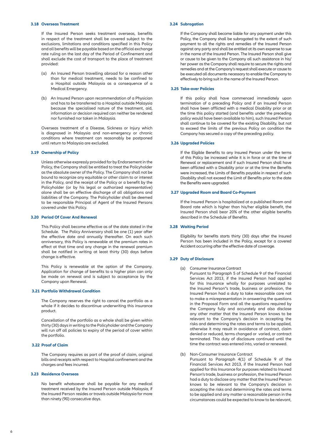#### **3.18 Overseas Treatment**

If the Insured Person seeks treatment overseas, benefits in respect of the treatment shall be covered subject to the exclusions, limitations and conditions specified in this Policy and all benefits will be payable based on the official exchange rate ruling on the last day of the Period of Confinement and shall exclude the cost of transport to the place of treatment provided:

- (a) An Insured Person travelling abroad for a reason other than for medical treatment, needs to be confined to a Hospital outside Malaysia as a consequence of a Medical Emergency.
- (b) An Insured Person upon recommendation of a Physician and has to be transferred to a Hospital outside Malaysia because the specialised nature of the treatment, aid, information or decision required can neither be rendered nor furnished nor taken in Malaysia.

 Overseas treatment of a Disease, Sickness or Injury which is diagnosed in Malaysia and non-emergency or chronic conditions where treatment can reasonably be postponed until return to Malaysia are excluded.

#### **3.19 Ownership of Policy**

 Unless otherwise expressly provided for by Endorsement in the Policy, the Company shall be entitled to treat the Policyholder as the absolute owner of the Policy. The Company shall not be bound to recognize any equitable or other claim to or interest in the Policy, and the receipt of the Policy or a benefit by the Policyholder (or by his legal or authorized representative) alone shall be an effective discharge of all obligations and liabilities of the Company. The Policyholder shall be deemed to be responsible Principal of Agent of the Insured Persons covered under this Policy.

#### **3.20 Period Of Cover And Renewal**

This Policy shall become effective as of the date stated in the Schedule. The Policy Anniversary shall be one (1) year after the effective date and annually thereafter. On each such anniversary, this Policy is renewable at the premium rates in effect at that time and any change in the renewal premium shall be notified in writing at least thirty (30) days before change is effective.

 This Policy is renewable at the option of the Company. Application for change of benefits to a higher plan can only be made on renewal and is subject to acceptance by the Company upon Renewal.

#### **3.21 Portfolio Withdrawal Condition**

 The Company reserves the right to cancel the portfolio as a whole if it decides to discontinue underwriting this insurance product.

 Cancellation of the portfolio as a whole shall be given within thirty (30) days in writing to the Policyholder and the Company will run off all policies to expiry of the period of cover within the portfolio.

#### **3.22 Proof of Claim**

 The Company requires as part of the proof of claim, original bills and receipts with respect to Hospital confinement and the charges and fees incurred.

#### **3.23 Residence Overseas**

No benefit whatsoever shall be payable for any medical treatment received by the Insured Person outside Malaysia, if the Insured Person resides or travels outside Malaysia for more than ninety (90) consecutive days.

#### **3.24 Subrogation**

If the Company shall become liable for any payment under this Policy, the Company shall be subrogated to the extent of such payment to all the rights and remedies of the Insured Person against any party and shall be entitled at its own expense to sue in the name of the Insured Person. The Insured Person shall give or cause to be given to the Company all such assistance in his/ her power as the Company shall require to secure the rights and remedies and at the Company's request shall execute or cause to be executed all documents necessary to enable the Company to effectively to bring suit in the name of the Insured Person.

#### **3.25 Take-over Policies**

If this policy shall have commenced immediately upon termination of a preceding Policy and if an Insured Person shall have been afflicted with a medical Disability prior or at the time this policy started (and benefits under the preceding policy would have been available to him), such Insured Person shall continue to be covered for the existing Disability, but not to exceed the limits of the previous Policy on condition the Company has secured a copy of the preceding policy.

#### **3.26 Upgraded Policies**

If the Eligible Benefits to any Insured Person under the terms of this Policy be increased while it is in force or at the time of Renewal or replacement and if such Insured Person shall have been afflicted with a Disability prior or at the time the Benefits were increased, the Limits of Benefits payable in respect of such Disability shall not exceed the Limit of Benefits prior to the date the Benefits were upgraded.

#### **3.27 Upgraded Room and Board Co-Payment**

If the Insured Person is hospitalized at a published Room and Board rate which is higher than his/her eligible benefit, the Insured Person shall bear 20% of the other eligible benefits described in the Schedule of Benefits.

#### **3.28 Waiting Period**

Eligibility for benefits starts thirty (30) days after the Insured Person has been included in the Policy, except for a covered Accident occurring after the effective date of coverage.

#### **3.29 Duty of Disclosure**

- (a) Consumer Insurance Contract
	- Pursuant to Paragraph 5 of Schedule 9 of the Financial Services Act 2013, if the Insured Person had applied for this Insurance wholly for purposes unrelated to the Insured Person"s trade, business or profession, the Insured Person had a duty to take reasonable care not to make a misrepresentation in answering the questions in the Proposal Form and all the questions required by the Company fully and accurately and also disclose any other matter that the Insured Person knows to be relevant to the Company's decision in accepting the risks and determining the rates and terms to be applied, otherwise it may result in avoidance of contract, claim denied or reduced, terms changed or varied, or contract terminated. This duty of disclosure continued until the time the contract was entered into, varied or renewed.
- (b) Non-Consumer Insurance Contract Pursuant to Paragraph 4(1) of Schedule 9 of the Financial Services Act 2013, if the Insured Person had applied for this Insurance for purposes related to Insured Person's trade, business or profession, the Insured Person had a duty to disclose any matter that the Insured Person knows to be relevant to the Company's decision in accepting the risks and determining the rates and terms to be applied and any matter a reasonable person in the circumstances could be expected to know to be relevant,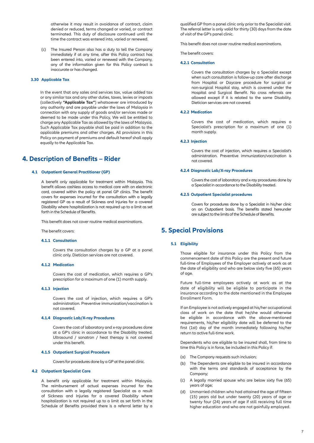otherwise it may result in avoidance of contract, claim denied or reduced, terms changed or varied, or contract terminated. This duty of disclosure continued until the time the contract was entered into, varied or renewed.

 (c) The Insured Person also has a duty to tell the Company immediately if at any time, after this Policy contract has been entered into, varied or renewed with the Company, any of the information given for this Policy contract is inaccurate or has changed.

#### **3.30 Applicable Tax**

 In the event that any sales and services tax, value added tax or any similar tax and any other duties, taxes, levies or imposts (collectively **"Applicable Tax"**) whatsoever are introduced by any authority and are payable under the laws of Malaysia in connection with any supply of goods and/or services made or deemed to be made under this Policy, We will be entitled to charge any Applicable Tax as allowed by the laws of Malaysia. Such Applicable Tax payable shall be paid in addition to the applicable premiums and other charges. All provisions in this Policy on payment of premiums and default hereof shall apply equally to the Applicable Tax.

### **4. Description of Benefits – Rider**

#### **4.1 Outpatient General Practitioner (GP)**

A benefit only applicable for treatment within Malaysia. This benefit allows cashless access to medical care with an electronic card, covered within the policy at panel GP clinics. The benefit covers for expenses incurred for the consultation with a legally registered GP as a result of Sickness and Injuries for a covered Disability where hospitalization is not required up to a limit as set forth in the Schedule of Benefits.

This benefit does not cover routine medical examinations.

The benefit covers:

#### **4.1.1 Consultation**

Covers the consultation charges by a GP at a panel clinic only. Dietician services are not covered.

#### **4.1.2 Medication**

Covers the cost of medication, which requires a GP's prescription for a maximum of one (1) month supply.

#### **4.1.3 Injection**

Covers the cost of injection, which requires a GP's administration. Preventive immunization/vaccination is not covered.

#### **4.1.4 Diagnostic Lab/X-ray Procedures**

Covers the cost of laboratory and x-ray procedures done at a GP's clinic in accordance to the Disability treated. Ultrasound / sonatron / heat therapy is not covered under this benefit.

#### **4.1.5 Outpatient Surgical Procedure**

Covers for procedures done by a GP at the panel clinic.

#### **4.2 Outpatient Specialist Care**

A benefit only applicable for treatment within Malaysia. The reimbursement of actual expenses incurred for the consultation with a legally registered Specialist as a result of Sickness and Injuries for a covered Disability where hospitalization is not required up to a limit as set forth in the Schedule of Benefits provided there is a referral letter by a

qualified GP from a panel clinic only prior to the Specialist visit. The referral letter is only valid for thirty (30) days from the date of visit of the GP's panel clinic.

This benefit does not cover routine medical examinations.

The benefit covers:

#### **4.2.1 Consultation**

Covers the consultation charges by a Specialist except when such consultation is follow-up care after discharge from Hospital or Daycare procedure for surgical or non-surgical Hospital stay, which is covered under the Hospital and Surgical Benefit. No cross referrals are allowed except if it is related to the same Disability. Dietician services are not covered.

#### **4.2.2 Medication**

Covers the cost of medication, which requires a Specialist's prescription for a maximum of one (1) month supply.

#### **4.2.3 Injection**

Covers the cost of injection, which requires a Specialist's administration. Preventive immunization/vaccination is not covered.

#### **4.2.4 Diagnostic Lab/X-ray Procedures**

Covers the cost of laboratory and x-ray procedures done by a Specialist in accordance to the Disability treated.

#### **4.2.5 Outpatient Specialist procedures**

Covers for procedures done by a Specialist in his/her clinic on an Outpatient basis. The benefits stated hereunder are subject to the limits of the Schedule of Benefits.

### **5. Special Provisions**

#### **5.1 Eligibility**

 Those eligible for insurance under this Policy from the commencement date of this Policy are the present and future full-time of Employees of the Employer actively at work as at the date of eligibility and who are below sixty five (65) years of age.

Future full-time employees actively at work as at the date of eligibility will be eligible to participate in the insurance according to the date mentioned in the Employee Enrollment Form.

If an Employee is not actively engaged at his/her occupational class of work on the date that he/she would otherwise be eligible in accordance with the above-mentioned requirements, his/her eligibility date will be deferred to the first (1st) day of the month immediately following his/her return to active full-time work.

 Dependents who are eligible to be insured shall, from time to time this Policy is in force, be included in this Policy if:

- (a) The Company requests such inclusion;
- (b) The Dependents are eligible to be insured in accordance with the terms and standards of acceptance by the Company;
- (c) A legally married spouse who are below sixty five (65) years of age;
- (d) Unmarried children who had attained the age of fifteen (15) years old but under twenty (20) years of age or twenty four (24) years of age if still receiving full time higher education and who are not gainfully employed.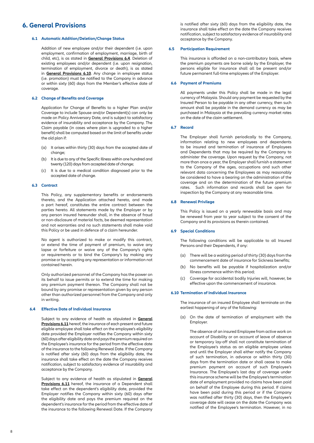### **6. General Provisions**

#### **6.1 Automatic Addition/Deletion/Change Status**

Addition of new employee and/or their dependent (i.e. upon employment, confirmation of employment, marriage, birth of child, etc), is as stated in **General Provisions 6.4**. Deletion of existing employees and/or dependent (i.e. upon resignation, termination of employment, divorce or death), is as stated in **General Provisions 6.10**. Any change in employee status (i.e. promotion) must be notified to the Company in advance or within sixty (60) days from the Member's effective date of coverage.

#### **6.2 Change of Benefits and Coverage**

Application for Change of Benefits to a higher Plan and/or Coverage to include Spouse and/or Dependent(s) can only be made on Policy Anniversary Date, and is subject to satisfactory evidence of insurability and acceptance by the Company. The Claim payable (in cases where plan is upgraded to a higher benefit) shall be computed based on the limit of benefits under the old plan if:

- (a) It arises within thirty (30) days from the accepted date of change;
- (b) It is due to any of the Specific Illness within one hundred and twenty (120) days from accepted date of change;
- (c) It is due to a medical condition diagnosed prior to the accepted date of change.

#### **6.3 Contract**

This Policy, any supplementary benefits or endorsements thereto, and the Application attached hereto, and made a part hereof, constitutes the entire contract between the parties hereto. All statements made by the Employer or by any person insured hereunder shall, in the absence of fraud or non-disclosure of material facts, be deemed representation and not warranties and no such statements shall make void this Policy or be used in defence of a claim hereunder.

 No agent is authorized to make or modify this contract, or extend the time of payment of premium, to waive any lapse or forfeiture or waive any of the Company's rights or requirements or to bind the Company's by making any promise or by accepting any representation or information not contained herein.

Only authorized personnel of the Company has the power on its behalf to issue permits or to extend the time for making any premium payment thereon. The Company shall not be bound by any promise or representation given by any person other than authorized personnel from the Company and only in writing.

#### **6.4 Effective Date of Individual Insurance**

 Subject to any evidence of health as stipulated in **General Provisions 6.11** hereof, the insurance of each present and future eligible employee shall take effect on the employee's eligibility date provided the Employer notifies the Company within sixty (60) days after eligibility date and pays the premium required on the Employee's insurance for the period from the effective date of the insurance to the following Renewal Date. If the Company is notified after sixty (60) days from the eligibility date, the insurance shall take effect on the date the Company receives notification, subject to satisfactory evidence of insurability and acceptance by the Company.

Subject to any evidence of health as stipulated in **General Provisions 6.11** hereof, the insurance of a Dependent shall take effect on the dependent's eligibility date, provided the Employer notifies the Company within sixty (60) days after the eligibility date and pays the premium required on the dependent's insurance for the period from the effective date of the insurance to the following Renewal Date. If the Company

is notified after sixty (60) days from the eligibility date, the insurance shall take effect on the date the Company receives notification, subject to satisfactory evidence of insurability and acceptance by the Company.

#### **6.5 Participation Requirement**

This insurance is afforded on a non-contributory basis, where the premium payments are borne solely by the Employer, the persons eligible for insurance shall all be present and/or future permanent full-time employees of the Employer.

#### **6.6 Payment of Premiums**

All payments under this Policy shall be made in the legal currency of Malaysia. Should any payment be requested by the Insured Person to be payable in any other currency, then such amount shall be payable in the demand currency as may be purchased in Malaysia at the prevailing currency market rates on the date of the claim settlement.

#### **6.7 Record**

 The Employer shall furnish periodically to the Company, information relating to new employees and dependents to be insured and termination of insurance of Employees and Dependents that may be required by the Company to administer the coverage. Upon request by the Company, not more than once a year, the Employer shall furnish a statement to the Company of the ages, occupations and such other relevant data concerning the Employees as may reasonably be considered to have a bearing on the administration of the coverage and on the determination of the future premium rates. Such information and records shall be open for inspection by the Company at any reasonable time.

#### **6.8 Renewal Privilege**

 This Policy is issued on a yearly renewable basis and may be renewed from year to year subject to the consent of the Company and its provisions as therein contained.

#### **6.9 Special Conditions**

 The following conditions will be applicable to all Insured Persons and their Dependents, if any:

- (a) There will be a waiting period of thirty (30) days from the commencement date of insurance for Sickness benefits;
- (b) No benefits will be payable if hospitalization and/or Illness commence within this period;
- (c) Coverage for accidental bodily Injuries will, however, be effective upon the commencement of insurance.

#### **6.10 Termination of Individual Insurance**

 The insurance of an insured Employee shall terminate on the earliest happening of any of the following:

(a) On the date of termination of employment with the Employer.

 The absence of an insured Employee from active work on account of Disability or on account of leave of absence or temporary lay-off shall not constitute termination of the Employee's status as an eligible employee unless and until the Employer shall either notify the Company of such termination, in advance or within thirty (30) days from the termination date or shall cease to make premium payment on account of such Employee's Insurance. The Employee's last day of coverage under this insurance scheme will be the Employee's termination date of employment provided no claims have been paid on behalf of the Employee during this period. If claims have been paid during this period or if the Company was notified after thirty (30) days, then the Employee's coverage date will cease on the date the Company was notified of the Employee's termination. However, in no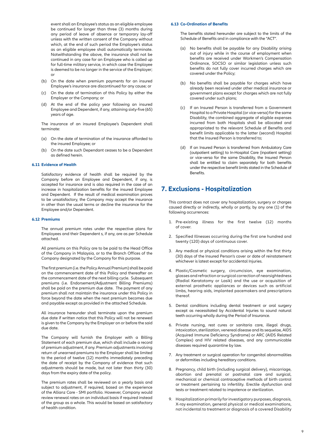event shall an Employee's status as an eligible employee be continued for longer than three (3) months during any period of leave of absence or temporary lay-off unless with the written consent of the Company without which, at the end of such period the Employee's status as an eligible employee shall automatically terminate. Notwithstanding the above, the insurance shall not be continued in any case for an Employee who is called up for full-time military service, in which case the Employee is deemed to be no longer in the service of the Employer; or

- (b) On the date when premium payments for an insured Employee's insurance are discontinued for any cause; or
- (c) On the date of termination of this Policy by either the Employer or the Company; or
- (d) At the end of the policy year following an insured Employee and Dependent, if any, attaining sixty-five (65) years of age.

 The insurance of an insured Employee's Dependent shall terminate:

- (a) On the date of termination of the insurance afforded to the insured Employee; or
- (b) On the date such Dependant ceases to be a Dependent as defined herein.

#### **6.11 Evidence of Health**

Satisfactory evidence of health shall be required by the Company before an Employee and Dependent, if any, is accepted for insurance and is also required in the case of an increase in hospitalization benefits for the insured Employee and Dependent. If the result of medical examination proves to be unsatisfactory, the Company may accept the insurance in other than the usual terms or decline the insurance for the Employee and/or Dependent.

#### **6.12 Premiums**

 The annual premium rates under the respective plans for Employees and their Dependent s, if any, are as per Schedule attached.

All premiums on this Policy are to be paid to the Head Office of the Company in Malaysia, or to the Branch Offices of the Company designated by the Company for this purpose.

The first premium (i.e. the Policy Annual Premium) shall be paid on the commencement date of this Policy and thereafter on the commencement date of the next billing cycle. Subsequent premiums (i.e. Endorsement/Adjustment Billing Premiums) shall be paid on the premium due date. The payment of any premium shall not maintain the insurance under this Policy in force beyond the date when the next premium becomes due and payable except as provided in the attached Schedule.

 All insurance hereunder shall terminate upon the premium due date if written notice that this Policy will not be renewed is given to the Company by the Employer on or before the said due date.

 The Company will furnish the Employer with a Billing Statement of each premium due, which shall include a record of premium adjustment, if any. Premium adjustments involving return of unearned premiums to the Employer shall be limited to the period of twelve (12) months immediately preceding the date of receipt by the Company of evidence that such adjustments should be made, but not later than thirty (30) days from the expiry date of the policy.

 The premium rates shall be reviewed on a yearly basis and subject to adjustment, if required, based on the experience of the Allianz Care - SMI portfolio. However, Company would review renewal rates on an individual basis if required instead of the group as a whole. This would be based on satisfactory of health condition.

#### **6.13 Co-Ordination of Benefits**

The benefits stated hereunder are subject to the limits of the Schedule of Benefits and in compliance with the "ACT".

- (a) No benefits shall be payable for any Disability arising out of injury while in the course of employment when benefits are received under Workmen's Compensation Ordinance, SOCSO or similar legislation unless such benefits do not fully cover incurred charges which are covered under the Policy;
- (b) No benefits shall be payable for charges which have already been received under other medical insurance or government plans except for charges which are not fully covered under such plans;
- (c) If an Insured Person is transferred from a Government Hospital to a Private Hospital (or vice-versa) for the same Disability, the combined aggregate of eligible expenses incurred from both Hospitals shall be allocated and appropriated to the relevant Schedule of Benefits and benefit limits applicable to the latter (second) Hospital that the Insured Person is transferred to;
- (d) If an Insured Person is transferred from Ambulatory Care (outpatient setting) to In-Hospital Care (inpatient setting) or vice-versa for the same Disability, the Insured Person shall be entitled to claim separately for both benefits under the respective benefit limits stated in the Schedule of **Benefits**

### **7. Exclusions - Hospitalization**

 This contract does not cover any hospitalization, surgery or charges caused directly or indirectly, wholly or partly, by any one (1) of the following occurrences:

- 1. Pre-existing illness for the first twelve (12) months of cover.
- 2. Specified Illnesses occurring during the first one hundred and twenty (120) days of continuous cover.
- 3. Any medical or physical conditions arising within the first thirty (30) days of the Insured Person's cover or date of reinstatement whichever is latest except for accidental Injuries.
- 4. Plastic/Cosmetic surgery, circumcision, eye examination, glasses and refraction or surgical correction of nearsightedness (Radial Keratotomy or Lasik) and the use or acquisition of external prosthetic appliances or devices such as artificial limbs, hearing aids, implanted pacemakers and prescriptions thereof.
- 5. Dental conditions including dental treatment or oral surgery except as necessitated by Accidental Injuries to sound natural teeth occurring wholly during the Period of Insurance.
- 6. Private nursing, rest cures or sanitaria care, illegal drugs, intoxication, sterilization, venereal disease and its sequelae, AIDS (Acquired Immune Deficiency Syndrome) or ARC (AIDS Related Complex) and HIV related diseases, and any communicable diseases required quarantine by law.
- 7. Any treatment or surgical operation for congenital abnormalities or deformities including hereditary conditions.
- 8. Pregnancy, child birth (including surgical delivery), miscarriage, abortion and prenatal or postnatal care and surgical, mechanical or chemical contraceptive methods of birth control or treatment pertaining to infertility. Erectile dysfunction and tests or treatment related to impotence or sterilization.
- 9. Hospitalization primarily for investigatory purposes, diagnosis, X-ray examination, general physical or medical examinations, not incidental to treatment or diagnosis of a covered Disability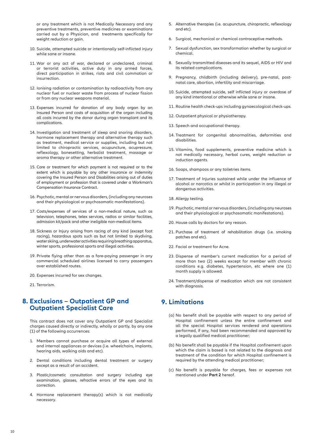or any treatment which is not Medically Necessary and any preventive treatments, preventive medicines or examinations carried out by a Physician, and treatments specifically for weight reduction or gain.

- 10. Suicide, attempted suicide or intentionally self-inflicted injury while sane or insane.
- 11. War or any act of war, declared or undeclared, criminal or terrorist activities, active duty in any armed forces, direct participation in strikes, riots and civil commotion or insurrection.
- 12. Ionising radiation or contamination by radioactivity from any nuclear fuel or nuclear waste from process of nuclear fission or from any nuclear weapons material.
- 13. Expenses incurred for donation of any body organ by an Insured Person and costs of acquisition of the organ including all costs incurred by the donor during organ transplant and its complications.
- 14. Investigation and treatment of sleep and snoring disorders, hormone replacement therapy and alternative therapy such as treatment, medical service or supplies, including but not limited to chiropractic services, acupuncture, acupressure, reflexology, bonesetting, herbalist treatment, massage or aroma therapy or other alternative treatment.
- 15. Care or treatment for which payment is not required or to the extent which is payable by any other insurance or indemnity covering the Insured Person and Disabilities arising out of duties of employment or profession that is covered under a Workman's Compensation Insurance Contract.
- 16. Psychotic, mental or nervous disorders, (including any neuroses and their physiological or psychosomatic manifestations).
- 17. Costs/expenses of services of a non-medical nature, such as television, telephones, telex services, radios or similar facilities, admission kit/pack and other ineligible non-medical items.
- 18. Sickness or Injury arising from racing of any kind (except foot racing), hazardous spots such as but not limited to skydiving, water skiing, underwater activities requiring breathing apparatus, winter sports, professional sports and illegal activities.
- 19. Private flying other than as a fare-paying passenger in any commercial scheduled airlines licensed to carry passengers over established routes.
- 20. Expenses incurred for sex changes.
- 21. Terrorism.

### **8. Exclusions – Outpatient GP and Outpatient Specialist Care**

 This contract does not cover any Outpatient GP and Specialist charges caused directly or indirectly, wholly or partly, by any one (1) of the following occurrences:

- 1. Members cannot purchase or acquire all types of external and internal appliances or devices (i.e. wheelchairs, implants, hearing aids, walking aids and etc).
- 2. Dental conditions including dental treatment or surgery except as a result of an accident.
- 3. Plastic/cosmetic consultation and surgery including eye examination, glasses, refractive errors of the eyes and its correction.
- 4. Hormone replacement therapy(s) which is not medically necessary.
- 5. Alternative therapies (i.e. acupuncture, chiropractic, reflexology and etc).
- 6. Surgical, mechanical or chemical contraceptive methods.
- 7. Sexual dysfunction, sex transformation whether by surgical or chemical.
- 8. Sexually transmitted diseases and its sequel, AIDS or HIV and its related complications.
- 9. Pregnancy, childbirth (including delivery), pre-natal, postnatal care, abortion, infertility and miscarriage.
- 10. Suicide, attempted suicide, self inflicted injury or overdose of any kind intentional or otherwise while sane or insane.
- 11. Routine health check-ups including gynaecological check-ups.
- 12. Outpatient physical or physiotherapy.
- 13. Speech and occupational therapy.
- 14. Treatment for congenital abnormalities, deformities and disabilities.
- 15. Vitamins, food supplements, preventive medicine which is not medically necessary, herbal cures, weight reduction or induction agents.
- 16. Soaps, shampoos or any toiletries items.
- 17. Treatment of Injuries sustained while under the influence of alcohol or narcotics or whilst in participation in any illegal or dangerous activities.
- 18. Allergy testing.
- 19. Psychotic, mental or nervous disorders, (including any neuroses and their physiological or psychosomatic manifestations).
- 20. House calls by doctors for any reason.
- 21. Purchase of treatment of rehabilitation drugs (i.e. smoking patches and etc).
- 22. Facial or treatment for Acne.
- 23. Dispense of member's current medication for a period of more than two (2) weeks except for member with chronic conditions e.g. diabetes, hypertension, etc where one (1) month supply is allowed.
- 24. Treatment/dispense of medication which are not consistent with diagnosis.

### **9. Limitations**

- (a) No benefit shall be payable with respect to any period of Hospital confinement unless the entire confinement and all the special Hospital services rendered and operations performed, if any, had been recommended and approved by a legally qualified medical practitioner;
- (b) No benefit shall be payable if the Hospital confinement upon which the claim is based is not related to the diagnosis and treatment of the condition for which Hospital confinement is required by the attending medical practitioner;
- (c) No benefit is payable for charges, fees or expenses not mentioned under **Part 2** hereof.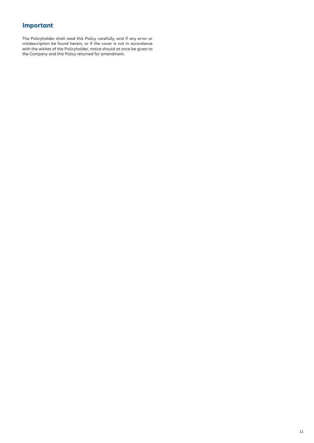## **Important**

The Policyholder shall read this Policy carefully, and if any error or misdescription be found herein, or if the cover is not in accordance with the wishes of the Policyholder, notice should at once be given to the Company and this Policy returned for amendment.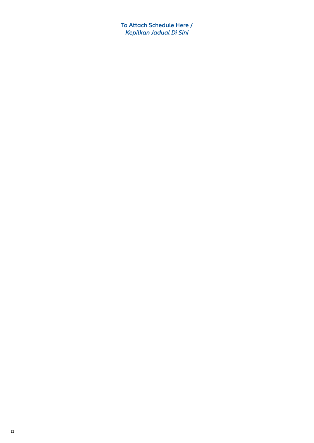**To Attach Schedule Here /** *Kepilkan Jadual Di Sini*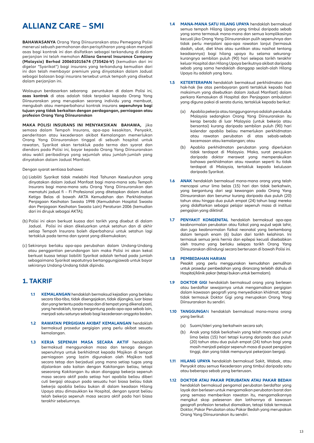# **ALLIANZ CARE – SMI**

**BAHAWASANYA** Orang Yang Diinsuranskan atau Pemegang Polisi menerusi sebuah permohonan dan perisytiharan yang akan menjadi asas bagi kontrak ini dan disifatkan sebagai terkandung di dalam perjanjian ini telah memohon **Allianz General Insurance Company (Malaysia) Berhad 200601015674 (735426-V)** (kemudian dari ini digelar "Syarikat") bagi insurans yang terkandung kemudian dari ini dan telah membayar premium yang dinyatakan dalam Jadual sebagai balasan bagi insurans tersebut untuk tempoh yang disebut dalam perjanjian ini.

Walaupun berdasarkan sebarang peruntukan di dalam Polisi ini, **asas kontrak** di atas adalah tidak terpakai kepada Orang Yang Diinsuranskan yang merupakan seorang individu yang membuat, mengubah atau memperbaharui kontrak insurans **sepenuhnya bagi tujuan yang tidak berkaitan dengan perdagangan, perniagaan atau profesion Orang Yang Diinsuranskan**

**MAKA POLISI INSURANS INI MENYAKSIKAN BAHAWA,** jika semasa dalam Tempoh Insurans, apa-apa kesakitan, Penyakit, penderitaan atau kecederaan akibat Kemalangan memerlukan Orang Yang Diinsuranskan tinggal di sebuah hospital untuk rawatan, Syarikat akan tertakluk pada terma dan syarat dan diendors pada Polisi ini, bayar kepada Orang Yang Diinsuranskan atau wakil peribadinya yang sejumlah atau jumlah-jumlah yang dinyatakan dalam Jadual Manfaat.

Dengan syarat sentiasa bahawa:

- (a) Liabiliti Syarikat tidak melebihi Had Tahunan Keseluruhan yang dinyatakan dalam Jadual Manfaat bagi mana-mana satu Tempoh Insurans bagi mana-mana satu Orang Yang Diinsuranskan dan mematuhi jadual fi – Fi Profesional yang ditetapkan dalam Jadual Ketiga Belas di bawah AKTA Kemudahan dan Perkhidmatan Penjagaan Kesihatan Swasta 1998 (Kemudahan Hospital Swasta dan Penjagaan Kesihatan Swasta Lain) Peraturan 2006 (kemudian dari ini dirujuk sebagai AKTA);
- (b) Polisi ini akan berkuat kuasa dari tarikh yang disebut di dalam Jadual. Polisi ini akan dikeluarkan untuk setahun dan di akhir setiap Tempoh Insurans boleh diperbaharui untuk setahun lagi tertakluk pada terma dan syarat yang dikemukakan;
- (c) Sekiranya berlaku apa-apa perubahan dalam Undang-Undang atau penggantian perundangan lain maka Polisi ini akan kekal berkuat kuasa tetapi liabiliti Syarikat adalah terhad pada jumlah sebagaimana Syarikat sepatutnya bertanggungjawab untuk bayar sekiranya Undang-Undang tidak dipinda.

### **1. TAKRIF**

- **1.1 KEMALANGAN** hendaklah bermaksud kejadian yang berlaku secara tiba-tiba, tidak disengajakan, tidak dijangka, luar biasa dan yang tertentu pada masa dan di tempat yang dikenal pasti, yang hendaklah, tanpa bergantung pada apa-apa sebab lain, menjadi satu-satunya sebab bagi kecederaan anggota badan.
- **1.2 RAWATAN PERGIGIAN AKIBAT KEMALANGAN** hendaklah bermaksud prosedur pergigian yang perlu akibat sesuatu kemalangan.
- **1.3 KERJA SEPENUH MASA SECARA AKTIF** hendaklah bermaksud menggunakan masa dan tenaga dengan sepenuhnya untuk berkhidmat kepada Majikan di tempat perniagaan yang lazim digunakan oleh Majikan tadi secara tetap dan berjadual yang mana setiap tugas yang dijalankan ada kaitan dengan Kakitangan beliau, tetapi seseorang Kakitangan itu akan dianggap bekerja sepenuh masa secara aktif pada setiap hari apabila beliau diberi cuti bergaji ataupun pada sesuatu hari biasa beliau tidak bekerja apabila beliau bukan di dalam keadaan Hilang Upaya atau dimasukkan ke Hospital, dengan syarat beliau telah bekerja sepenuh masa secara aktif pada hari biasa terakhir sebelumnya.
- **1.4 MANA-MANA SATU HILANG UPAYA** hendaklah bermaksud semua tempoh Hilang Upaya yang timbul daripada sebab yang sama termasuk mana-mana dan semua komplikasinya kecuali jika Orang Yang Diinsuranskan pulih sepenuhnya dan tidak perlu menjalani apa-apa rawatan lanjut (termasuk dadah, ubat, diet khas atau suntikan atau nasihat tentang keadaannya) bagi hilang upaya itu selama sekurangkurangnya sembilan puluh (90) hari selepas tarikh terakhir keluar Hospital dan Hilang Upaya berikutnya akibat daripada sebab yang sama hendaklah dianggap seolah-olah Hilang Upaya itu adalah yang baru.
- **1.5 KETERTERAPAN** hendaklah bermaksud perkhidmatan dan hak-hak (ke atas pembayaran ganti tertakluk kepada had maksimum yang disebutkan dalam Jadual Manfaat) dalam perkara Kemasukan di Hospital dan Penjagaan ambulatori yang diguna pakai di serata dunia, tertakluk kepada berikut:
	- (a) Apabila pekerja atau tanggungannya adalah penduduk Malaysia sedangkan Orang Yang Diinsuranskan itu kerap berada di luar Malaysia (untuk bekerja atau bersantai) kurang daripada sembilan puluh (90) hari kalendar apabila beliau memerlukan perkhidmatan atau rawatan perubatan di atas sebab-sebab kecemasan atau kemalangan; atau
	- (b) Apabila perkhidmatan perubatan yang diperlukan tidak terdapat di Malaysia. Maka, surat perujukan daripada doktor merawat yang memperakuikan bahawa perkhidmatan atau rawatan seperti itu tidak terdapat di Malaysia, tertakluk kepada kelulusan daripada Syarikat.
- **1.6 ANAK** hendaklah bermaksud mana-mana orang yang telah mencapai umur lima belas (15) hari dan tidak berkahwin, yang bergantung dari segi kewangan pada Orang Yang Diinsuranskan dan berumur kurang daripada dua puluh (20) tahun atau hingga dua puluh empat (24) tahun bagi mereka yang didaftarkan sebagai pelajar sepenuh masa di institusi pengajian yang diiktiraf.
- **1.7 PENYAKIT KONGENITAL** hendaklah bermaksud apa-apa keabnormalan perubatan atau fizikal yang wujud sejak lahir, dan juga keabnormalan fizikal neonatal yang berkembang dalam tempoh enam (6) bulan dari tarikh kelahiran. Ini termasuk semua jenis hernia dan epilepsi kecuali disebabkan oleh trauma yang berlaku selepas tarikh Orang Yang Diinsuranskan dilindungi secara berterusan di bawah Polisi ini.

#### **1.8 PEMBEDAHAN HARIAN**

 Pesakit yang perlu menggunakan kemudahan pemulihan untuk prosedur pembedahan yang dirancang terlebih dahulu di Hospital/klinik pakar (tetapi bukan untuk bermalam).

- **1.9 DOKTOR GIGI** hendaklah bermaksud orang yang berlesen atau berdaftar sewajarnya untuk mengamalkan pergigian dalam kawasan geografi yang menyediakan khidmat, tetapi tidak termasuk Doktor Gigi yang merupakan Orang Yang Diinsuranskan itu sendiri.
- **1.10 TANGGUNGA**N hendaklah bermaksud mana-mana orang yang berikut:
	- (a) Suami/isteri yang berkahwin secara sah;
	- (b) Anak yang tidak berkahwin yang telah mencapai umur lima belas (15) hari tetapi kurang daripada dua puluh (20) tahun atau dua puluh empat (24) tahun bagi yang masih menjadi pelajar sepenuh masa di pusat pengajian tinggi, dan yang tidak mempunyai pekerjaan bergaji.
- **1.11 HILANG UPAYA** hendaklah bermaksud Sakit, Wabak, atau Penyakit atau semua Kecederaan yang timbul daripada satu atau beberapa sebab yang berterusan.
- **1.12 DOKTOR ATAU PAKAR PERUBATAN ATAU PAKAR BEDAH**  hendaklah bermaksud pengamal perubatan berdaftar yang layak dan berlesen untuk mengamalkan perubatan barat dan yang semasa memberikan rawatan itu, mengamalkannya mengikut skop pelesenan dan latihannya di kawasan geografi profesion tersebut diamalkan, tetapi tidak termasuk Doktor, Pakar Perubatan atau Pakar Bedah yang merupakan Orang Yang Diinsuranskan itu sendiri.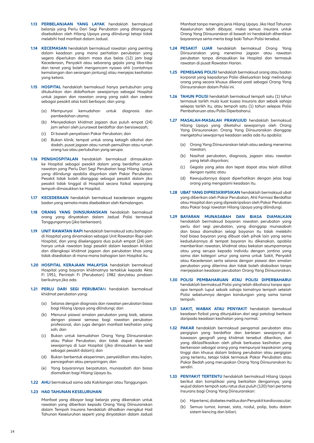- **1.13 PERBELANJAAN YANG LAYAK** hendaklah bermaksud belanja yang Perlu Dari Segi Perubatan yang ditanggung disebabkan oleh Hilang Upaya yang dilindungi tetapi tidak melebihi had manfaat dalam Jadual.
- **1.14 KECEMASAN** hendaklah bermaksud rawatan yang penting dalam keadaan yang mana perhatian perubatan yang segera diperlukan dalam masa dua belas (12) jam bagi Kecederaan, Penyakit atau sebarang gejala yang tiba-tiba dan tenat yang boleh mengancam nyawa ahli (contohnya kemalangan dan serangan jantung) atau menjejas kesihatan yang ketara.
- **1.15 HOSPITAL** hendaklah bermaksud hanya pertubuhan yang ditubuhkan dan didaftarkan sewajarnya sebagai Hospital untuk jagaan dan rawatan orang yang sakit dan cedera sebagai pesakit atas katil berbayar, dan yang:
	- (a) Mempunyai kemudahan untuk diagnosis dan pembedahan utama;
	- (b) Menyediakan khidmat jagaan dua puluh empat (24) jam sehari oleh jururawat berdaftar dan bersiswazah;
	- (c) Di bawah penyeliaan Pakar Perubatan; dan
	- (d) Bukan klinik; tempat untuk orang ketagih alkohol dan dadah; pusat jagaan atau rumah pemulihan atau rumah orang tua atau pertubuhan yang serupa.
- **1.16 PENGHOSPITALAN** hendaklah bermaksud dimasukkan ke Hospital sebagai pesakit dalam yang berdaftar untuk rawatan yang Perlu Dari Segi Perubatan bagi Hilang Upaya yang dilindungi apabila disyorkan oleh Pakar Perubatan. Pesakit tidak boleh dianggap sebagai pesakit dalam jika pesakit tidak tinggal di Hospital secara fizikal sepanjang tempoh dimasukkan ke Hospital.
- **1.17 KECEDERAAN** hendaklah bermaksud kecederaan anggota badan yang semata-mata disebabkan oleh Kemalangan.
- **1.18 ORANG YANG DIINSURANSKAN** hendaklah bermaksud orang yang dinyatakan dalam Jadual Polisi termasuk Tanggungannya (jika berkenaan).
- **1.19 UNIT RAWATAN RAPI** hendaklah bermaksud satu bahagian di Hospital yang dinamakan sebagai Unit Rawatan Rapi oleh Hospital, dan yang diselenggara dua puluh empat (24) jam hanya untuk rawatan bagi pesakit dalam keadaan kritikal dan dilengkapi khidmat jagaan dan perubatan khas yang tidak disediakan di mana-mana bahagian lain Hospital itu.
- **1.20 HOSPITAL KERAJAAN MALAYSIA** hendaklah bermaksud Hospital yang bayaran khidmatnya tertakluk kepada Akta Fi 1951, Perintah Fi (Perubatan) 1982 dan/atau pindaan berikutnya jika ada.
- **1.21 PERLU DARI SEGI PERUBATA**N hendaklah bermaksud khidmat perubatan yang:
	- (a) Selaras dengan diagnosis dan rawatan perubatan biasa bagi Hilang Upaya yang dilindungi; dan
	- (b) Menurut piawai amalan perubatan yang baik, selaras dengan piawai semasa bagi rawatan perubatan profesional, dan juga dengan manfaat kesihatan yang sah; dan
	- (c) Bukan untuk kemudahan Orang Yang Diinsuranskan atau Pakar Perubatan, dan tidak dapat diperoleh sewajarnya di luar Hospital (jika dimasukkan ke wad sebagai pesakit dalam); dan
	- (d) Bukan berbentuk eksperimen, penyelidikan atau kajian, pencegahan atau penyaringan; dan
	- (e) Yang bayarannya berpatutan, munasabah dan biasa diamalkan bagi Hilang Upaya itu.
- **1.22 AHLI** bermaksud sama ada Kakitangan atau Tanggungan.

#### **1.23 HAD TAHUNAN KESELURUHAN**

 Manfaat yang dibayar bagi belanja yang dikenakan untuk rawatan yang diberikan kepada Orang Yang Diinsuranskan dalam Tempoh Insurans hendaklah dihadkan mengikut Had Tahunan Keseluruhan seperti yang dinyatakan dalam Jadual

Manfaat tanpa mengira jenis Hilang Upaya. Jika Had Tahunan Keseluruhan telah dibayar, maka semua insurans untuk Orang Yang Diinsuranskan di bawah ini hendaklah dihentikan bayarannya serta-merta bagi baki Tahun Polisi tersebut.

- **1.24 PESAKIT LUAR** hendaklah bermaksud Orang Yang Diinsuranskan yang menerima jagaan atau rawatan perubatan tanpa dimasukkan ke Hospital dan termasuk rawatan di pusat Rawatan Harian.
- **1.25 PEMEGANG POLISI** hendaklah bermaksud orang atau badan korporat yang kepadanya Polisi dikeluarkan bagi melindungi orang yang secara khusus dikenal pasti sebagai Orang Yang Diinsuranskan dalam Polisi ini.
- **1.26 TAHUN POLISI** hendaklah bermaksud tempoh satu (1) tahun termasuk tarikh mula kuat kuasa Insurans dan sebaik sahaja selepas tarikh itu, atau tempoh satu (1) tahun selepas Polisi Pembaharuan atau Polisi Diperbaharui.
- **1.27 MASALAH-MASALAH PRAWUJUD** hendaklah bermaksud Hilang Upaya yang diketahui sewajarnya oleh Orang Yang Diinsuranskan. Orang Yang Diinsuranskan dianggap mengetahui sewajarnya keadaan sedia ada itu apabila:
	- (a) Orang Yang Diinsuranskan telah atau sedang menerima rawatan;
	- (b) Nasihat perubatan, diagnosis, jagaan atau rawatan yang telah disyorkan;
	- (c) Gegala yang jelas dan tepat dapat atau telah dilihat dengan nyata; atau
	- (d) Kewujudannya dapat diperhatikan dengan jelas bagi orang yang mengalami keadaan itu.
- **1.28 UBAT YANG DIPRESKRIPSIKAN** hendaklah bermaksud ubat yang diberikan oleh Pakar Perubatan, Ahli Farmasi Berdaftar atau Hospital dan yang dipreskripsikan oleh Pakar Perubatan atau Pakar bagi rawatan Hilang Upaya yang dilindungi.
- **1.29 BAYARAN MUNASABAH DAN BIASA DIAMALKAN** hendaklah bermaksud bayaran rawatan perubatan yang perlu dari segi perubatan, yang dianggap munasabah dan biasa diamalkan selagi bayaran itu tidak melebihi had biasa bayaran yang dibuat oleh pihak lain yang sama kedudukannya di tempat bayaran itu dikenakan, apabila memberikan rawatan, khidmat atau bekalan seumpamanya atau yang serupa kepada individu dengan jantina yang sama dan kategori umur yang sama untuk Sakit, Penyakit atau Kecederaan serta selaras dengan piawai dan amalan perubatan yang diterima dan tidak boleh diabaikan tanpa menjejaskan keadaan perubatan Orang Yang Diinsuranskan.
- **1.30 POLISI PEMBAHARUAN ATAU POLISI DIPERBAHARUI** hendaklah bermaksud Polisi yang telah dibaharui tanpa apaapa tempoh luput sebaik sahaja tamatnya tempoh setelah Polisi sebelumnya dengan kandungan yang sama tamat tempoh.
- **1.31 SAKIT, WABAK ATAU PENYAKIT** hendaklah bemaksud keadaan fizikal yang ditunjukkan dari segi patologi berbeza daripada keadaan kesihatan yang normal.
- **1.32 PAKAR** hendaklah bermaksud pengamal perubatan atau pergigian yang berdaftar dan berlesen sewajarnya di kawasan geografi yang khidmat tersebut diberikan, dan yang diklasifikasikan oleh pihak berkuasa kesihatan yang berkenaan sebagai orang yang mempunyai kepakaran yang tinggi dan khusus dalam bidang perubatan atau pergigian yang tertentu, tetapi tidak termasuk Pakar Perubatan atau Pakar Bedah yang merupakan Orang Yang Diinsuranskan itu sendiri.
- **1.33 PENYAKIT TERTENTU** hendaklah bermaksud Hilang Upaya berikut dan komplikasi yang berkaitan dengannya, yang wujud dalam tempoh satu ratus dua puluh (120) hari pertama Insurans bagi Orang Yang Diinsuranskan:
	- (a) Hipertensi, diabetes melitus dan Penyakit kardiovascular;
	- (b) Semua tumor, kanser, sista, nodul, polip, batu dalam sistem kencing dan biliari;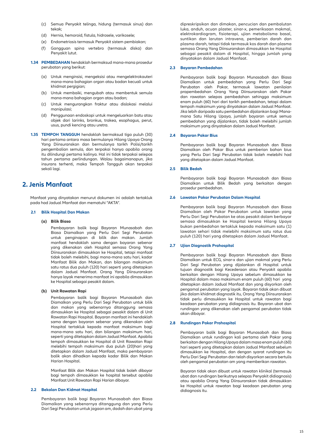- (c) Semua Penyakit telinga, hidung (termasuk sinus) dan tekak;
- (d) Hernia, hemoroid, fistula, hidrosele, varikosele;
- (e) Endometriosis termasuk Penyakit sistem pembiakan;
- (f) Gangguan spina vertebro (termasuk diska) dan Penyakit lutut.
- **1.34 PEMBEDAHAN** hendaklah bermaksud mana-mana prosedur perubatan yang berikut:
	- (a) Untuk menginsisi, mengeksisi atau mengelektrokauteri mana-mana bahagian organ atau badan kecuali untuk khidmat pergigian;
	- (b) Untuk membaiki, mengubah atau membentuk semula mana-mana bahagian organ atau badan;
	- (c) Untuk mengurangkan fraktur atau dislokasi melalui manipulasi;
	- (d) Penggunaan endoskopi untuk mengeluarkan batu atau objek dari larinks, bronkus, trakea, esophagus, perut, usus, pundi kencing atau uretra.
- **1.35 TEMPOH TANGGUH** hendaklah bermaksud tiga puluh (30) hari pertama antara masa bermulanya Hilang Upaya Orang Yang Diinsuranskan dan bermulanya tarikh Polisi/tarikh pengembalian semula, dan terpakai hanya apabila orang itu dilindungi pertama kalinya. Hal ini tidak terpakai selepas tahun pertama perlindungan. Walau bagaimanapun, jika insurans terhenti, maka Tempoh Tangguh akan terpakai sekali lagi.

### **2. Jenis Manfaat**

 Manfaat yang dinyatakan menurut dokumen ini adalah tertakluk pada had Jadual Manfaat dan mematuhi "AKTA".

#### **2.1 Bilik Hospital Dan Makan**

#### **(a) Bilik Biasa**

Pembayaran balik bagi Bayaran Munasabah dan Biasa Diamalkan yang Perlu Dari Segi Perubatan untuk penginapan di bilik dan makan. Jumlah manfaat hendaklah sama dengan bayaran sebenar yang dikenakan oleh Hospital semasa Orang Yang Diinsuranskan dimasukkan ke Hospital, tetapi manfaat tidak boleh melebihi, bagi mana-mana satu hari, kadar Manfaat Bilik dan Makan, dan bilangan maksimum satu ratus dua puluh (120) hari seperti yang ditetapkan dalam Jadual Manfaat. Orang Yang Diinsuranskan hanya layak menerima manfaat ini apabila dimasukkan ke Hospital sebagai pesakit dalam.

#### **(b) Unit Rawatan Rapi**

Pembayaran balik bagi Bayaran Munasabah dan Diamalkan yang Perlu Dari Segi Perubatan untuk bilik dan makan yang sebenarnya ditanggung semasa dimasukkan ke Hospital sebagai pesakit dalam di Unit Rawatan Rapi Hospital. Bayaran manfaat ini hendaklah sama dengan bayaran sebenar yang dikenakan oleh Hospital tertakluk kepada manfaat maksimum bagi mana-mana satu hari, dan bilangan maksimum hari, seperti yang ditetapkan dalam Jadual Manfaat. Apabila tempoh dimasukkan ke Hospital di Unit Rawatan Rapi melebihi tempoh maksimum dua puluh (20)hari yang ditetapkan dalam Jadual Manfaat, maka pembayaran balik akan dihadkan kepada kadar Bilik dan Makan Harian Hospital.

 Manfaat Bilik dan Makan Hospital tidak boleh dibayar bagi tempoh dimasukkan ke hospital tersebut apabila Manfaat Unit Rawatan Rapi Harian dibayar.

#### **2.2 Bekalan Dan Kidmat Hospital**

Pembayaran balik bagi Bayaran Munasabah dan Biasa Diamalkan yang sebenarnya ditanggung dan yang Perlu Dari Segi Perubatan untuk jagaan am, dadah dan ubat yang dipreskripsikan dan dimakan, pencucian dan pembalutan luka, anduh, acuan plaster, sinar-x, pemeriksaan makmal, elektrokardiogram, fisioterapi, ujian metabolisma basal, suntikan dan larutan intravena, pemberian darah dan plasma darah, tetapi tidak termasuk kos darah dan plasma semasa Orang Yang Diinsuranskan dimasukkan ke Hospital sebagai pesakit dalam di Hospital, hingga jumlah yang dinyatakan dalam Jadual Manfaat.

#### **2.3 Bayaran Pembedahan**

 Pembayaran balik bagi Bayaran Munasabah dan Biasa Diamalkan untuk pembedahan yang Perlu Dari Segi Perubatan oleh Pakar, termasuk lawatan penilaian prapembedahan Orang Yang Diinsuranskan oleh Pakar dan rawatan selepas pembedahan sehingga maksimum enam puluh (60) hari dari tarikh pembedahan, tetapi dalam tempoh maksimum yang dinyatakan dalam Jadual Manfaat. Jika lebih daripada satu pembedahan dijalankan bagi Manamana Satu Hilang Upaya, jumlah bayaran untuk semua pembedahan yang dijalankan, tidak boleh melebihi jumlah maksimum yang dinyatakan dalam Jadual Manfaat.

#### **2.4 Bayaran Pakar Bius**

 Pembayaran balik bagi Bayaran Munasabah dan Biasa Diamalkan oleh Pakar Bius untuk pemberian bahan bius yang Perlu Dari Segi Perubatan tidak boleh melebihi had yang ditetapkan dalam Jadual Manfaat.

#### **2.5 Bilik Bedah**

 Pembayaran balik bagi Bayaran Munasabah dan Biasa Diamalkan untuk Bilik Bedah yang berkaitan dengan prosedur pembedahan.

#### **2.6 Lawatan Pakar Perubatan Dalam Hospital**

 Pembayaran balik bagi Bayaran Munasabah dan Biasa Diamalkan oleh Pakar Perubatan untuk lawatan yang Perlu Dari Segi Perubatan ke atas pesakit dalam berbayar semasa dimasukkan ke Hospital kerana Hilang Upaya bukan pembedahan tertakluk kepada maksimum satu (1) lawatan sehari tidak melebihi maksimum satu ratus dua puluh (120) hari yang ditetapkan dalam Jadual Manfaat.

#### **2.7 Ujian Diagnostik Prahospital**

 Pembayaran balik bagi Bayaran Munasabah dan Biasa Diamalkan untuk ECG, sinar-x dan ujian makmal yang Perlu Dari Segi Perubatan yang dijalankan di Hospital untuk tujuan diagnostik bagi Kecederaan atau Penyakit apabila berkaitan dengan Hilang Upaya sebelum dimasukkan ke Hospital dalam masa maksimum enam puluh (60) hari yang ditetapkan dalam Jadual Manfaat dan yang disyorkan oleh pengamal perubatan yang layak. Bayaran tidak akan dibuat jika dalam khidmat diagnostik itu, Orang Yang Diinsuranskan tidak perlu dimasukkan ke Hospital untuk rawatan bagi keadaan perubatan yang didiagnosis itu. Bayaran ubat dan rundingan yang dikenakan oleh pengamal perubatan tidak akan dibayar.

#### **2.8 Rundingan Pakar Prahospital**

 Pembayaran balik bagi Bayaran Munasabah dan Biasa Diamalkan untuk rundingan kali pertama oleh Pakar yang berkaitan dengan Hilang Upaya dalam masa enam puluh (60) hari seperti yang ditetapkan dalam Jadual Manfaat sebelum dimasukkan ke Hospital, dan dengan syarat rundingan itu Perlu Dari Segi Perubatan dan telah disyorkan secara bertulis oleh pengamal perubatan am yang memberikan rawatan.

 Bayaran tidak akan dibuat untuk rawatan klinikal (termasuk ubat dan rundingan berikutnya selepas Penyakit didiagnosis) atau apabila Orang Yang Diinsuranskan tidak dimasukkan ke Hospital untuk rawatan bagi keadaan perubatan yang didiagnosis itu.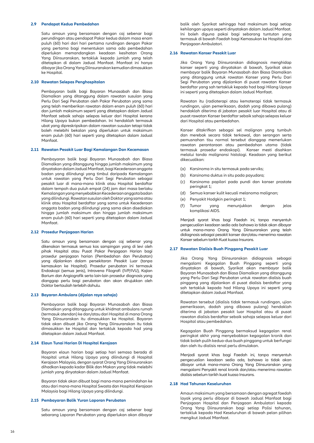#### **2.9 Pendapat Kedua Pembedahan**

 Satu amaun yang bersamaan dengan caj sebenar bagi perundingan atau pendapat Pakar kedua dalam masa enam puluh (60) hari dari hari pertama rundingan dengan Pakar yang pertama bagi menentukan sama ada pembedahan diperlukan memandangkan keadaan kesihatan Orang Yang Diinsuranskan, tertakluk kepada jumlah yang telah ditetapkan di dalam Jadual Manfaat. Manfaat ini hanya dibayar jika Orang Yang Diinsuranskan kemudian dimasukkan ke Hospital.

#### **2.10 Rawatan Selepas Penghospitalan**

 Pembayaran balik bagi Bayaran Munasabah dan Biasa Diamalkan yang ditanggung dalam rawatan susulan yang Perlu Dari Segi Perubatan oleh Pakar Perubatan yang sama yang telah memberikan rawatan dalam enam puluh (60) hari dan jumlah maksimum seperti yang ditetapkan dalam Jadual Manfaat sebaik sahaja selepas keluar dari Hospital kerana Hilang Upaya bukan pembedahan. Ini hendaklah termasuk ubat yang dipreskripsikan dalam rawatan susulan tetapi tidak boleh melebihi bekalan yang diperlukan untuk maksimum enam puluh (60) hari seperti yang ditetapkan dalam Jadual Manfaat.

#### **2.11 Rawatan Pesakit Luar Bagi Kemalangan Dan Kecemasan**

 Pembayaran balik bagi Bayaran Munasabah dan Biasa Diamalkan yang ditanggung hingga jumlah maksimum yang dinyatakan dalam Jadual Manfaat, bagi Kecederaan anggota badan yang dilindungi yang timbul daripada Kemalangan untuk rawatan yang Perlu Dari Segi Perubatan sebagai pesakit luar di mana-mana klinik atau Hospital berdaftar dalam tempoh dua puluh empat (24) jam dari masa berlaku Kemalangan yang menyebabkan Kecederaan anggota badan yang dilindungi. Rawatan susulan oleh Doktor yang sama atau klinik atau Hospital berdaftar yang sama untuk Kecederaan anggota badan yang dilindungi yang sama akan disediakan hingga jumlah maksimum dan hingga jumlah maksimum enam puluh (60) hari seperti yang ditetapkan dalam Jadual Manfaat.

#### **2.12 Prosedur Penjagaan Harian**

Satu amaun yang bersamaan dengan caj sebenar yang dikenakan termasuk semua kos sampingan yang di levi oleh pihak Hospital atau Pusat Pakar Penjagaan Harian bagi prosedur penjagaan harian (Pembedahan dan Perubatan) yang dijalankan dalam persekitaran Pesakit Luar (tanpa kemasukan ke Hospital). Prosedur perubatan ini termasuk Endoskopi (semua jenis), Intravena Filografi (IVP/IVU), Kajian Barium dan Angiografik serta lain-lain prosedur diagnosis yang dianggap perlu bagi perubatan dan akan dirujukkan oleh Doktor bertauliah terlebih dahulu.

#### **2.13 Bayaran Ambulans (dijalan raya sahaja)**

 Pembayaran balik bagi Bayaran Munasabah dan Biasa Diamalkan yang ditanggung untuk khidmat ambulans rumah (termasuk atendan) ke dan/atau dari Hospital di mana Orang Yang Diinsuranskan itu dimasukkan ke Hospital. Bayaran tidak akan dibuat jika Orang Yang Diinsuranskan itu tidak dimasukkan ke Hospital dan tertakluk kepada had yang ditetapkan dalam Jadual Manfaat.

#### **2.14 Elaun Tunai Harian Di Hospital Kerajaan**

 Bayaran elaun harian bagi setiap hari semasa berada di Hospital untuk Hilang Upaya yang dilindungi di Hospital Kerajaan Malaysia, dengan syarat Orang Yang Diinsuranskan dihadkan kepada kadar Bilik dan Makan yang tidak melebihi jumlah yang dinyatakan dalam Jadual Manfaat.

 Bayaran tidak akan dibuat bagi mana-mana pemindahan ke atau dari mana-mana Hospital Swasta dan Hospital Kerajaan Malaysia bagi Hilang Upaya yang dilindungi.

#### **2.15 Pembayaran Balik Yuran Laporan Perubatan**

 Satu amaun yang bersamaan dengan caj sebenar bagi sebarang Laporan Perubatan yang diperlukan akan dibayar balik oleh Syarikat sehingga had maksimum bagi setiap kehilangan upaya seperti dinyatakan dalam Jadual Manfaat. Ini boleh diguna pakai bagi sebarang tuntutan yang termasuk di bawah Faedah bagi Kemasukan ke Hospital dan Penjagaan Ambulatori.

#### **2.16 Rawatan Kanser Pesakit Luar**

 Jika Orang Yang Diinsuranskan didiagnosis menghidap kanser seperti yang dinyatakan di bawah, Syarikat akan membayar balik Bayaran Munasabah dan Biasa Diamalkan yang ditanggung untuk rawatan Kanser yang Perlu Dari Segi Perubatan yang dijalankan di pusat rawatan Kanser berdaftar yang sah tertakluk kepada had bagi Hilang Upaya ini seperti yang ditetapkan dalam Jadual Manfaat.

Rawatan itu (radioterapi atau kemoterapi tidak termasuk rundingan, ujian pemeriksaan, dadah yang dibawa pulang) hendaklah diterima di jabatan pesakit luar Hospital atau di pusat rawatan Kanser berdaftar sebaik sahaja selepas keluar dari Hospital atau pembedahan.

 Kanser ditakrifkan sebagai sel malignan yang tumbuh dan merebak secara tidak terkawal, dan serangan serta pemusnahan tisu normal tersebut dianggap memerlukan rawatan perantaraan atau pembedahan utama (tidak termasuk prosedur endoskopi). Kanser mesti disahkan melalui tanda malignansi histologi. Keadaan yang berikut dikecualikan:

- (a) Karsinoma in situ termasuk pada serviks;
- (b) Karsinoma duktus in situ pada payudara;
- (c) Karsinoma papilari pada pundi dan kanser prostate peringkat 1;
- (d) Semua kanser kulit kecuali melanoma malignan;
- (e) Penyakit Hodgkin peringkat 1;
- (f) Tumor yang menunjukkan dengan jelas komplikasi AIDS.

Menjadi syarat khas bagi Faedah ini, tanpa menyentuh pengecualian keadaan sedia ada bahawa ia tidak akan dibayar untuk mana-mana Orang Yang Diinsuranskan yang telah didiagnosis sebagai pesakit kanser dan/atau menerima rawatan Kanser sebelum tarikh Kuat kuasa Insurans.

#### **2.17 Rawatan Dialisis Buah Pinggang Pesakit Luar**

Jika Orang Yang Diinsuranskan didiagnosis sebagai mengalami Kegagalan Buah Pinggang seperti yang dinyatakan di bawah, Syarikat akan membayar balik Bayaran Munasabah dan Biasa Diamalkan yang ditanggung yang Perlu Dari Segi Perubatan untuk rawatan dialisis buah pinggang yang dijalankan di pusat dialisis berdaftar yang sah tertakluk kepada had Hilang Upaya ini seperti yang ditetapkan dalam Jadual Manfaat.

Rawatan tersebut (dialisis tidak termasuk rundingan, ujian pemeriksaan, dadah yang dibawa pulang) hendaklah diterima di jabatan pesakit luar Hospital atau di pusat rawatan dialisis berdaftar sebaik sahaja selepas keluar dari Hospital atau pembedahan.

 Kegagalan Buah Pinggang bermaksud kegagalan renal peringkat akhir yang menyebabkan kegagalan kronik dan tidak boleh pulih kedua-dua buah pinggang untuk berfungsi dan oleh itu dialisis renal perlu dimulakan.

 Menjadi syarat khas bagi Faedah ini, tanpa menyentuh pengecualian keadaan sedia ada, bahawa ia tidak akan dibayar untuk mana-mana Orang Yang Diinsuranskan yang mengalami Penyakit renal kronik dan/atau menerima rawatan dialisis sebelum tarikh kuat kuasa Insurans.

#### **2.18 Had Tahunan Keseluruhan**

 Amaun maksimum yang bersamaan dengan agregat faedah layak yang perlu dibayar di bawah Jadual Manfaat bagi Penjagaan Hospital dan Penjagaan Ambulatori kepada Orang Yang Diinsuranskan bagi setiap Polisi tahunan, tertakluk kepada Had Keseluruhan di bawah pelan pilihan mengikut Jadual Manfaat.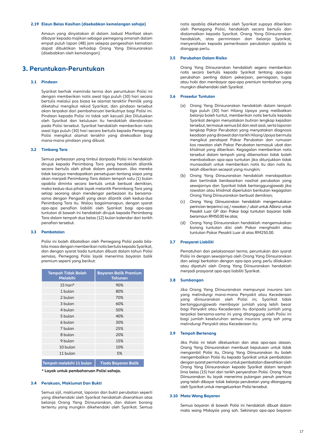#### **2.19 Elaun Belas Kasihan (disebabkan kemalangan sahaja)**

 Amaun yang dinyatakan di dalam Jadual Manfaat akan dibayar kepada majikan sebagai pemegang amanah dalam empat puluh lapan (48) jam selepas pengesahan kematian dapat dibuktikan terhadap Orang Yang Diinsuranskan (disebabkan oleh kemalangan).

### **3. Peruntukan-Peruntukan**

#### **3.1 Pindaan**

 Syarikat berhak meminda terma dan peruntukan Polisi ini dengan memberikan notis awal tiga puluh (30) hari secara bertulis melalui pos biasa ke alamat terakhir Pemilik yang diketahui mengikut rekod Syarikat, dan pindaan tersebut akan terpakai dari pembaharuan berikutnya bagi Polisi ini. Pindaan kepada Polisi ini tidak sah kecuali jika Diluluskan oleh Syarikat dan kelulusan itu hendaklah diendorskan pada Polisi tersebut. Syarikat hendaklah memberikan notis awal tiga puluh (30) hari secara bertulis kepada Pemegang Polisi mengikut alamat terakhir yang direkodkan bagi mana-mana pindaan yang dibuat.

#### **3.2 Timbang Tara**

 Semua perbezaan yang timbul daripada Polisi ini hendaklah dirujuk kepada Penimbang Tara yang hendaklah dilantik secara bertulis oleh pihak dalam perbezaan. Jika mereka tidak berjaya mendapatkan persetujuan tentang siapa yang akan menjadi Penimbang Tara dalam tempoh satu (1) bulan apabila diminta secara bertulis untuk berbuat demikian, maka kedua-dua pihak layak melantik Penimbang Tara yang setiap seorang akan mendengar perbezaan itu bersamasama dengan Pengadil yang akan dilantik oleh kedua-dua Penimbang Tara itu. Walau bagaimanapun, dengan syarat apa-apa penafian liabiliti oleh Syarikat bagi apa-apa tuntutan di bawah ini hendaklah dirujuk kepada Penimbang Tara dalam tempoh dua belas (12) bulan kalendar dari tarikh penafian tersebut.

#### **3.3 Pembatalan**

 Polisi ini boleh dibatalkan oleh Pemegang Polisi pada bilabila masa dengan memberikan notis bertulis kepada Syarikat, dan dengan syarat tiada tuntutan dibuat dalam tahun Polisi semasa, Pemegang Polisi layak menerima bayaran balik premium seperti yang berikut:

| <b>Tempoh Tidak Boleh</b><br><b>Melebihi</b> | <b>Bayaran Balik Premium</b><br><b>Tahunan</b> |
|----------------------------------------------|------------------------------------------------|
| 15 hari*                                     | 90%                                            |
| 1 bulan                                      | 80%                                            |
| 2 bulan                                      | 70%                                            |
| 3 bulan                                      | 60%                                            |
| 4 bulan                                      | 50%                                            |
| 5 bulan                                      | 40%                                            |
| 6 bulan                                      | 30%                                            |
| 7 bulan                                      | 25%                                            |
| 8 bulan                                      | 20%                                            |
| 9 bulan                                      | 15%                                            |
| 10 bulan                                     | 10%                                            |
| 11 bulan                                     | 5%                                             |
|                                              |                                                |

**Tempoh melebihi 11 bulan Tiada Bayaran Balik**

**\* Layak untuk pembaharuan Polisi sahaja.**

#### **3.4 Perakuan, Maklumat Dan Bukti**

Semua sijil, maklumat, laporan dan bukti perubatan seperti yang dikehendaki oleh Syarikat hendaklah diserahkan atas belanja Orang Yang Diinsuranskan, dan dalam borang tertentu yang mungkin dikehendaki oleh Syarikat. Semua

notis apabila dikehendaki oleh Syarikat supaya diberikan oleh Pemegang Polisi, hendaklah secara bertulis dan dialamatkan kepada Syarikat. Orang Yang Diinsuranskan hendaklah, atas permintaan dan belanja Syarikat, menyerahkan kepada pemeriksaan perubatan apabila ia dianggap perlu.

#### **3.5 Perubahan Dalam Risiko**

 Orang Yang Diinsuranskan hendaklah segera memberikan notis secara bertulis kepada Syarikat tentang apa-apa perubahan penting dalam pekerjaan, perniagaan, tugas atau hobi dan membayar apa-apa premium tambahan yang mungkin dikehendaki oleh Syarikat.

#### **3.6 Prosedur Tuntutan**

- (a) Orang Yang Diinsuranskan hendaklah dalam tempoh tiga puluh (30) hari Hilang Upaya yang melibatkan belanja boleh tuntut, memberikan notis bertulis kepada Syarikat dengan menyatakan butiran lengkap kejadian tersebut, termasuk semua bil dan resit asal, serta laporan lengkap Pakar Perubatan yang menyatakan diagnosis keadaan yang dirawat dan tarikh Hilang Upaya bermula mengikut pendapat Pakar Perubatan dan rumusan kos rawatan oleh Pakar Perubatan termasuk ubat dan khidmat yang diberikan. Kegagalan memberikan notis tersebut dalam tempoh yang dibenarkan tidak boleh membatalkan apa-apa tuntutan jika ditunjukkan tidak munasabah untuk memberikan notis itu dan notis itu telah diberikan secepat yang mungkin;
- (b) Orang Yang Diinsuranskan hendaklah mendapatkan dan bertindak berdasarkan nasihat perubatan yang sewajarnya dan Syarikat tidak bertanggungjawab jika rawatan atau khidmat diperlukan berikutan kegagalan Orang Yang Diinsuranskan berbuat demikian;
- (c) Orang Yang Diinsuranskan hendaklah mengemukakan perincian terperinci caj / rawatan / ubat untuk Allianz untuk Pesakit Luar GP dan Pakar bagi tuntutan bayaran balik beramaun RM50.00 ke atas;
- (d) Orang Yang Diinsuranskan hendaklah mengemukakan borang tuntutan diisi oleh Pakar menghadiri atau tuntutan Pakar Pesakit Luar di atas RM250.00.

#### **3.7 Prasyarat Liabiliti**

 Pematuhan dan pelaksanaan terma, peruntukan dan syarat Polisi ini dengan sewajarnya oleh Orang Yang Diinsuranskan dan selagi berkaitan dengan apa-apa yang perlu dilakukan atau dipatuhi oleh Orang Yang Diinsuranskan hendaklah menjadi prasyarat apa-apa liabiliti Syarikat.

#### **3.8 Sumbangan**

 Jika Orang Yang Diinsuranskan mempunyai insurans lain yang melindungi mana-mana Penyakit atau Kecederaan yang diinsuranskan oleh Polisi ini, Syarikat tidak bertanggungjawab membayar jumlah yang lebih besar bagi Penyakit atau Kecederaan itu daripada jumlah yang terpakai bersama-sama ini yang ditanggung oleh Polisi ini bagi jumlah keseluruhan semua insurans yang sah yang melindungi Penyakit atau Kecederaan itu.

#### **3.9 Tempoh Bertenang**

Jika Polisi ini telah dikeluarkan dan atas apa-apa alasan, Orang Yang Diinsuranskan membuat keputusan untuk tidak mengambil Polisi itu, Orang Yang Diinsuranskan itu boleh mengembalikan Polisi itu kepada Syarikat untuk pembatalan dengan syarat permohonan untuk pembatalan diserahkan oleh Orang Yang Diinsuranskan kepada Syarikat dalam tempoh lima belas (15) hari dari tarikh penyerahan Polisi. Orang Yang Diinsuranskan itu layak menerima pulangan penuh premium yang telah dibayar tolak belanja perubatan yang ditanggung oleh Syarikat untuk mengeluarkan Polisi tersebut.

#### **3.10 Mata Wang Bayaran**

Semua bayaran di bawah Polisi ini hendaklah dibuat dalam mata wang Malaysia yang sah. Sekiranya apa-apa bayaran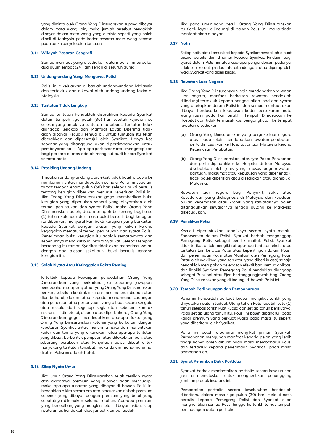yang diminta oleh Orang Yang Diinsuranskan supaya dibayar dalam mata wang lain, maka jumlah tersebut hendaklah dibayar dalam mata wang yang diminta seperti yang boleh dibeli di Malaysia pada kadar pasaran mata wang semasa pada tarikh penyelesaian tuntutan.

#### **3.11 Wilayah Pasaran Geografi**

 Semua manfaat yang disediakan dalam polisi ini terpakai dua puluh empat (24) jam sehari di seluruh dunia.

#### **3.12 Undang-undang Yang Mengawal Polisi**

 Polisi ini dikeluarkan di bawah undang-undang Malaysia dan tertakluk dan dikawal oleh undang-undang lazim di Malaysia.

#### **3.13 Tuntutan Tidak Lengkap**

Semua tuntutan hendaklah diserahkan kepada Syarikat dalam tempoh tiga puluh (30) hari setelah kejadian itu selesai yang untuknya tuntutan itu dibuat. Tuntutan tidak dianggap lengkap dan Manfaat Layak Diterima tidak akan dibayar kecuali semua bil untuk tuntutan itu telah diserahkan dan dipersetujui oleh Syarikat. Hanya kos sebenar yang ditanggung akan dipertimbangkan untuk pembayaran balik. Apa-apa perbezaan atau mengetepikan bagi perkara di atas adalah mengikut budi bicara Syarikat semata-mata.

#### **3.14 Prosiding Undang-Undang**

Tindakan undang-undang atau ekuiti tidak boleh dibawa ke mahkamah untuk mendapatkan semula Polisi ini sebelum tamat tempoh enam puluh (60) hari selepas bukti bertulis tentang kerugian diberikan menurut keperluan Polisi ini. Jika Orang Yang Diinsuranskan gagal memberikan bukti kerugian yang diperlukan seperti yang dinyatakan oleh terma, peruntukan dan syarat Polisi, maka Orang Yang Diinsuranskan boleh, dalam tempoh bertenang bagi satu (1) tahun kalendar dari masa bukti bertulis bagi kerugian itu diberikan, menyerahkan bukti kerugian yang berkaitan kepada Syarikat dengan alasan yang kukuh kerana kegagalan mematuhi terma, peruntukan dan syarat Polisi. Penerimaan bukti kerugian itu adalah semata-mata dan sepenuhnya mengikut budi bicara Syarikat. Selepas tempoh bertenang itu tamat, Syarikat tidak akan menerima, walau dengan apa alasan sekalipun, bukti bertulis tentang kerugian itu.

#### **3.15 Salah Nyata Atau Ketinggalan Fakta Penting**

 Tertakluk kepada kewajipan pendedahan Orang Yang Diinsuranskan yang berkaitan, jika sebarang jawapan, pendedahan atau pernyataan yang Orang Yang Diinsuranskan berikan, sebelum kontrak insurans ini dimeterai, diubah atau diperbaharui, dalam atau kepada mana-mana cadangan atau perakuan atau pertanyaan, yang dibuat secara sengaja atau melulu dari segenap segi; atau sebelum kontrak insurans ini dimeterai, diubah atau diperbaharui, Orang Yang Diinsuranskan gagal mendedahkan apa-apa fakta yang Orang Yang Diinsuranskan ketahui yang berkaitan dengan keputusan Syarikat untuk menerima risiko dan menentukan kadar dan terma yang dikenakan; atau apa-apa tuntutan yang dibuat berbentuk penipuan atau ditokok-tambah, atau sebarang perakuan atau kenyataan palsu dibuat untuk menyokong tuntutan tersebut, maka dalam mana-mana hal di atas, Polisi ini adalah batal.

#### **3.16 Silap Nyata Umur**

Jika umur Orang Yang Diinsuranskan telah tersilap nyata dan akibatnya premium yang dibayar tidak mencukupi, maka apa-apa tuntutan yang dibayar di bawah Polisi ini hendaklah dikira secara pro rata berasaskan nisbah premium sebenar yang dibayar dengan premium yang betul yang sepatutnya dikenakan selama setahun. Apa-apa premium yang berlebihan, yang mungkin telah dibayar akibat silap nyata umur, hendaklah dibayar balik tanpa faedah.

 Jika pada umur yang betul, Orang Yang Diinsuranskan itu tidak layak dilindungi di bawah Polisi ini, maka tiada manfaat akan dibayar.

#### **3.17 Notis**

 Setiap notis atau komunikasi kepada Syarikat hendaklah dibuat secara bertulis dan dihantar kepada Syarikat. Pindaan bagi syarat dalam Polisi ini atau apa-apa pengendorsan padanya, tidak sah kecuali pindaan itu ditandangani atau diparap oleh wakil Syarikat yang diberi kuasa.

#### **3.18 Rawatan Luar Negara**

 Jika Orang Yang Diinsuranskan ingin mendapatkan rawatan luar negara, manfaat berkaitan rawatan hendaklah dilindungi tertakluk kepada pengecualian, had dan syarat yang ditetapkan dalam Polisi ini dan semua manfaat akan dibayar berdasarkan keputusan kadar pertukaran mata wang rasmi pada hari terakhir Tempoh Dimasukkan ke Hospital dan tidak termasuk kos pengangkutan ke tempat rawatan disediakan;

- (a) Orang Yang Diinsuranskan yang pergi ke luar negara atas sebab selain mendapatkan rawatan perubatan, perlu dimasukkan ke Hospital di luar Malaysia kerana Kecemasan Perubatan.
- (b) Orang Yang Diinsuranskan, atas syor Pakar Perubatan dan perlu dipindahkan ke Hospital di luar Malaysia disebabkan oleh jenis yang khusus bagi rawatan, bantuan, maklumat atau keputusan yang dikehendaki tidak boleh diberikan atau disediakan atau diambil di Malaysia.

Rawatan luar negara bagi Penyakit, sakit atau Kecederaan yang didiagnosis di Malaysia dan keadaan bukan kecemasan atau kronik yang rawatannya boleh ditangguhkan sewajarnya hingga pulang ke Malaysia dikecualikan.

#### **3.19 Pemilikan Polisi**

 Kecuali diperuntukkan sebaliknya secara nyata melalui Endorsemen dalam Polisi, Syarikat berhak menganggap Pemegang Polisi sebagai pemilik mutlak Polisi. Syarikat tidak terikat untuk mengiktiraf apa-apa tuntutan ekuiti atau tuntutan lain ke atas Polisi atau kepentingan dalam Polisi, dan penerimaan Polisi atau Manfaat oleh Pemegang Polisi (atau oleh wakilnya yang sah atau yang diberi kuasa) sahaja hendaklah merupakan pelepasan efektif bagi semua obligasi dan liabiliti Syarikat. Pemegang Polisi hendaklah dianggap sebagai Prinsipal atau Ejen bertanggungjawab bagi Orang Yang Diinsuranskan yang dilindungi di bawah Polisi ini.

#### **3.20 Tempoh Perlindungan dan Pembaharuan**

Polisi ini hendaklah berkuat kuasa mengikut tarikh yang dinyatakan dalam Jadual. Ulang tahun Polisi adalah satu (1) tahun selepas tarikh kuat kuasa dan setiap tahun berikutnya. Pada setiap ulang tahun itu, Polisi ini boleh dibaharui pada kadar premium yang berkuat kuasa pada masa itu seperti yang diberitahu oleh Syarikat.

 Polisi ini boleh dibaharui mengikut pilihan Syarikat. Permohonan mengubah manfaat kepada pelan yang lebih tinggi hanya boleh dibuat pada masa membaharui Polisi dan tertakluk kepada penerimaan Syarikat pada masa pembaharuan.

#### **3.21 Syarat Penarikan Balik Portfolio**

 Syarikat berhak membatalkan portfolio secara keseluruhan jika ia memutuskan untuk menghentikan penanggung jaminan produk insurans ini.

 Pembatalan portfolio secara keseluruhan hendaklah diberitahu dalam masa tiga puluh (30) hari melalui notis bertulis kepada Pemegang Polisi dan Syarikat akan menghentikan semua Polisi hingga ke tarikh tamat tempoh perlindungan dalam portfolio.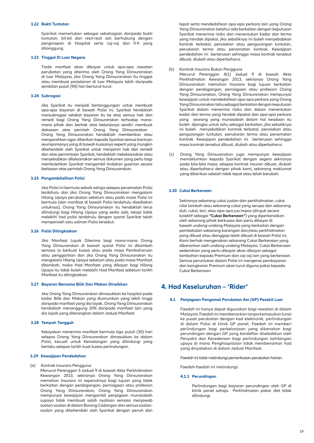#### **3.22 Bukti Tuntutan**

 Syarikat memerlukan sebagai sebahagian daripada bukti tuntutan, bil-bil dan resit-resit asli berhubung dengan penginapan di Hospital serta caj-caj dan fi-fi yang ditanggung.

#### **3.23 Tinggal Di Luar Negara**

 Tiada manfaat akan dibayar untuk apa-apa rawatan perubatan yang diterima oleh Orang Yang Diinsuranskan di luar Malaysia, jika Orang Yang Diinsuranskan itu tinggal atau membuat perjalanan di luar Malaysia lebih daripada sembilan puluh (90) hari berturut-turut.

#### **3.24 Subrogasi**

Jika Syarikat itu menjadi bertanggungan untuk membuat apa-apa bayaran di bawah Polisi ini, Syarikat hendaklah mensubrogasi setakat bayaran itu ke atas semua hak dan remedi bagi Orang Yang Diinsuranskan terhadap manamana pihak dan berhak atas belanjanya sendiri membuat dakwaan atas perintah Orang Yang Diinsuranskan . Orang Yang Diinsuranskan hendaklah memberikan atau mengarahkan agar diberikan kepada Syarikat semua bantuan seumpamanya yang di bawah kuasanya seperti yang mungkin dikehendaki oleh Syarikat untuk menjamin hak dan remedi dan atas permintaan Syarikat, hendaklah melaksanakan atau menyebabkan dilaksanakan semua dokumen yang perlu bagi membolehkan Syarikat mengambil tindakan guaman secara berkesan atas perintah Orang Yang Diinsuranskan.

#### **3.25 Pengambilalihan Polisi**

 Jika Polisi ini bermula sebaik sahaja selepas penamatan Polisi terdahulu dan jika Orang Yang Diinsuranskan mengalami Hilang Upaya perubatan sebelum atau pada masa Polisi ini bermula (dan manfaat di bawah Polisi terdahulu disediakan untuknya), Orang Yang Diinsuranskan itu hendaklah terus dilindungi bagi Hilang Upaya yang sedia ada, tetapi tidak melebihi had polisi terdahulu dengan syarat Syarikat telah memperoleh satu salinan Polisi tersebut.

#### **3.26 Polisi Ditingkatkan**

 Jika Manfaat Layak Diterima bagi mana-mana Orang Yang Diinsuranskan di bawah syarat Polisi ini ditambah semasa ia berkuat kuasa atau pada masa Pembaharuan atau penggantian dan jika Orang Yang Diinsuranskan itu mengalami Hilang Upaya sebelum atau pada masa Manfaat ditambah, maka Had Manfaat yang dibayar bagi Hilang Upaya itu tidak boleh melebihi Had Manfaat sebelum tarikh Manfaat itu ditingkatkan.

#### **3.27 Bayaran Bersama Bilik Dan Makan Dinaikkan**

 Jika Orang Yang Diinsuranskan dimasukkan ke hospital pada kadar Bilik dan Makan yang diumumkan yang lebih tinggi daripada manfaat yang dia layak, Orang Yang Diinsuranskan hendaklah menanggung 20% daripada manfaat lain yang dia layak yang diterangkan dalam Jadual Manfaat.

#### **3.28 Tempoh Tangguh**

 Kelayakan menerima manfaat bermula tiga puluh (30) hari selepas Orang Yang Diinsuranskan dimasukkan ke dalam Polisi, kecuali untuk Kemalangan yang dilindungi yang berlaku selepas tarikh kuat kuasa perlindungan.

#### **3.29 Kewajipan Pendedahan**

#### (a) Kontrak Insurans Pengguna

Menurut Perenggan 5 Jadual 9 di bawah Akta Perkhidmatan Kewangan 2013, sekiranya Orang Yang Diinsuranskan memohon Insurans ini sepenuhnya bagi tujuan yang tidak berkaitan dengan perdagangan, perniagaan atau profesion Orang Yang Diinsuranskan, Orang Yang Diinsuranskan mempunyai kewajipan mengambil penjagaan munasabah supaya tidak membuat salah nyataan semasa menjawab soalan-soalan di dalam Borang Cadangan dan semua soalansoalan yang dikehendaki oleh Syarikat dengan penuh dan

tepat serta mendedahkan apa-apa perkara lain yang Orang Yang Diinsuranskan ketahui ada berkaitan dengan keputusan Syarikat menerima risiko dan menentukan kadar dan terma yang hendak dipakai, jika sebaliknya ini boleh menyebabkan kontrak terbatal, penolakan atau pengurangan tuntutan, penukaran terma atau penamatan kontrak. Kewajipan pendedahan ini berterusan sehingga masa kontrak tersebut dibuat, diubah atau diperbaharui.

- Kontrak Insurans Bukan Pengguna
- Menurut Perenggan 4(1) Jadual 9 di bawah Akta Perkhidmatan Kewangan 2013, sekiranya Orang Yang Diinsuranskan memohon Insurans bagi tujuan berkaitan dengan perdagangan, perniagaan atau profesion Orang Yang Diinsuranskan, Orang Yang Diinsuranskan mempunyai kewajipan untuk mendedahkan apa-apa perkara yang Orang Yang Diinsuranskan tahu sebagai berkaitan dengan keputusan Syarikat dalam menerima risiko dan dalam menentukan kadar dan terma yang hendak dipakai dan apa-apa perkara yang seorang yang munasabah dalam hal keadaan itu boleh dijangka untuk tahu sebagai berkaitan, jika sebaliknya ini boleh menyebabkan kontrak terbatal, penolakan atau pengurangan tuntutan, penukaran terma atau penamatan kontrak. Kewajipan pendedahan ini berterusan sehingga masa kontrak tersebut dibuat, diubah atau diperbaharui.
- (c) Orang Yang Diinsuranskan juga mempunyai kewajipan memaklumkan kepada Syarikat dengan segera sekiranya pada bila-bila masa, selepas kontrak insuran dibuat, diubah atau diperbaharui dengan pihak kami, sebarang maklumat yang diberikan adalah tidak tepat atau telah berubah.

#### **3.30 Cukai Berkenaan**

 Sekiranya sebarang cukai jualan dan perkhidmatan, cukai nilai tambah atau sebarang cukai yang serupa dan sebarang duti, cukai, levi, atau apa-apa jua impos (dirujuk secara kolektif sebagai **"Cukai Berkenaan"**) yang diperkenalkan oleh sebarang pihak berkuasa dan perlu dibayar di bawah undang-undang Malaysia yang berkaitan dengan pembekalan sebarang barangan dan/atau perkhidmatan yang dibuat atau dianggap telah dibuat di bawah Polisi ini, Kami berhak mengenakan sebarang Cukai Berkenaan yang dibenarkan oleh undang-undang Malaysia. Cukai Berkenaan sedemikian yang perlu dibayar akan dibayar sebagai tambahan kepada Premium dan caj-caj lain yang berkenaan. Semua peruntukan dalam Polisi ini mengenai pembayaran dan keingkaran Premium akan turut diguna pakai kepada Cukai Berkenaan

### **4. Had Keseluruhan – 'Rider'**

#### **4.1 Penjagaan Pengamal Perubatan Am (GP) Pesakit Luar**

Faedah ini hanya dapat digunakan bagi rawatan di dalam Malaysia. Faedah ini membenarkan tanpa kemasukan tunai ke pusat perubatan dengan kad elektronik, perlindungan di dalam Polisi di klinik GP panel. Faedah ini memberi perlindungan bagi perbelanjaan yang dikenakan bagi perundingan dengan GP yang berdaftar disebabkan oleh Penyakit dan Kecederaan bagi perlindungan kehilangan upaya di mana Penghospitalan tidak membenarkan had yang dinyatakan di dalam Jadual Manfaat.

Faedah ini tidak melindungi pemeriksaan perubatan harian.

Faedah-faedah ini melindungi:

#### **4.1.1 Perundingan**

Perlindungan bagi bayaran perundingan oleh GP di klinik panel sahaja. Perkhidmatan pakar diet tidak dilindungi.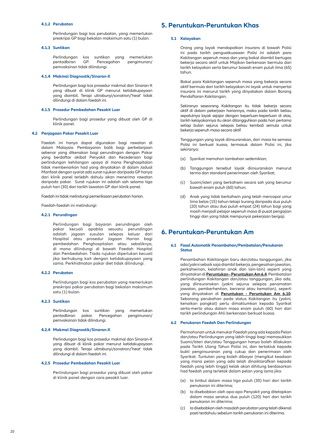#### **4.1.2 Perubatan**

Perlindungan bagi kos perubatan, yang memerlukan preskripsi GP bagi bekalan maksimum satu (1) bulan.

#### **4.1.3 Suntikan**

Perlindungan kos suntikan yang memerlukan pengimunan/ pemvaksinan tidak dilindungi.

#### **4.1.4 Makmal Diagnostik/Sinaran-X**

Perlindungan bagi kos prosedur makmal dan Sinaran-X yang dibuat di klinik GP menurut ketidakupayaan yang diambil. Terapi ultrabunyi/sonatron/'heat' tidak dilindungi di dalam faedah ini.

#### **4.1.5 Prosedur Pembedahan Pesakit Luar**

Perlindungan bagi prosedur yang dibuat oleh GP di klinik panel.

#### **4.2 Penjagaan Pakar Pesakit Luar**

Faedah ini hanya dapat digunakan bagi rawatan di dalam Malaysia. Pembayaran balik bagi perbelanjaan sebenar yang dikenakan bagi perundingan dengan Pakar yang berdaftar akibat Penyakit dan Kecederaan bagi perlindungan kehilangan upaya di mana Penghospitalan tidak membenarkan had yang dinyatakan di dalam Jadual Manfaat dengan syarat ada surat rujukan daripada GP hanya dari klinik panel terlebih dahulu akan menerima rawatan daripada pakar. Surat rujukan ini adalah sah selama tiga puluh hari (30) dari tarikh lawatan GP dari klinik panel.

Faedah ini tidak melindungi pemeriksaan perubatan harian.

Faedah-faedah ini melindungi:

#### **4.2.1 Perundingan**

Perlindungan bagi bayaran perundingan oleh pakar kecuali apabila sesuatu perundingan adalah jagaan susulan selepas keluar dari Hospital atau prosedur Jagaan Harian bagi pembedahan Penghospitalan atau sebaliknya, di mana dilindungi di bawah Faedah Hospital dan Pembedahan. Tiada rujukan diperlukan kecuali jika berhubung kait dengan ketidakupayaan yang sama. Perkhidmatan pakar diet tidak dilindungi.

#### **4.2.2 Perubatan**

Perlindungan bagi kos perubatan yang memerlukan preskripsi pakar perubatan bagi bekalan maksimum satu (1) bulan.

#### **4.2.3 Suntikan**

Perlindungan kos suntikan yang memerlukan pentadbiran pakar. Pencegahan pengimunan/ pemvaksinan tidak dilindungi.

#### **4.2.4 Makmal Diagnostik/Sinaran-X**

Perlindungan bagi kos prosedur makmal dan Sinaran-X yang dibuat di klinik pakar menurut ketidakupayaan yang diambil. Terapi ultrabunyi/sonatron/'heat' tidak dilindungi di dalam faedah ini.

#### **4.2.5 Prosedur Pembedahan Pesakit Luar**

Perlindungan bagi prosedur yang dibuat oleh pakar di klinik panel dengan cara pesakit luar.

### **5. Peruntukan-Peruntukan Khas**

#### **5.1 Kelayakan**

 Orang yang layak mendapatkan insurans di bawah Polisi ini pada tarikh penguatkuasaan Polisi ini adalah para Kakitangan sepenuh masa dan yang bakal diambil bertugas bekerja secara aktif untuk Majikan berkenaan bermula dari tarikh kelayakan serta berumur bawah enam puluh lima (65) tahun.

 Bakal para Kakitangan sepenuh masa yang bekerja secara aktif bermula dari tarikh kelayakan ini layak untuk menyertai insurans ini menurut tarikh yang dinyatakan dalam Borang Pendaftaran Kakitangan.

 Sekiranya seseorang Kakitangan itu tidak bekerja secara aktif di dalam pekerjaan hariannya, maka pada tarikh beliau sepatutnya layak sejajar dengan keperluan-keperluan di atas, tarikh kelayakannya itu akan ditangguhkan pada hari pertama setiap bulan sejurus selepas beliau kembali semula untuk bekerja sepenuh masa secara aktif.

 Tanggungan yang layak diinsuranskan, dari masa ke semasa Polisi ini berkuat kuasa, termasuk dalam Polisi ini, jika sekiranya:

- (a) Syarikat memohon tambahan sedemikian;
- (b) Tanggungan tersebut layak diinsuranskan menurut terma dan standard penerimaan oleh Syarikat;
- (c) Suami/isteri yang berkahwin secara sah yang berumur bawah enam puluh (60) tahun;
- (d) Anak yang tidak berkahwin yang telah mencapai umur lima belas (15) tahun tetapi kurang daripada dua puluh (20) tahun atau dua puluh empat (24) tahun bagi yang masih menjadi pelajar sepenuh masa di pusat pengajian tinggi dan yang tidak mempunyai pekerjaan bergaji.

### **6. Peruntukan-Peruntukan Am**

#### **6.1 Fasal Automatik Penambahan/Pembatalan/Penukaran Status**

Penambahan Kakitangan baru dan/atau tanggungan, jika ada (yakni sebaik saja diambil bekerja, pengesahan jawatan, perkahwinan, kelahiran anak dan lain-lain) seperti yang dinyatakan di **Peruntukan - Peruntukan Am 6.4**. Pembatalan perlindungan Kakitangan dan/atau tanggungan, jika ada, yang diinsuranskan (yakni sejurus selepas penamatan jawatan, pemberhentian, bercerai atau kematian), seperti yang dinyatakan di **Peruntukan - Peruntukan Am 6.10**. Sebarang perubahan pada status Kakitangan itu (yakni, kenaikan pangkat) perlu dimaklumkan kepada Syarikat serta-merta atau dalam masa enam puluh (60) hari dari tarikh perlindungan Ahli berkenaan berkuat kuasa.

#### **6.2 Penukaran Faedah Dan Perlindungan**

Permohonan untuk menukar Faedah yang ada kepada Pelan dan/atau Perlindungan yang lebih tinggi bagi memasukkan Suami/Isteri dan/atau Tanggungan hanya boleh dilakukan pada Tarikh Ulang Tahun Polisi ini, dan tertakluk kepada bukti penginsuranan yang cukup dan penerimaan oleh Syarikat. Tuntutan yang boleh dibayar (mengikut keadaan yang mana pelan yang ada telah dinaiktarafkan kepada faedah yang lebih tinggi) kelak akan dihitung berdasarkan had faedah yang terletak dalam pelan yang lama jika:

- (a) Ia timbul dalam masa tiga puluh (30) hari dari tarikh penukaran ini diterima;
- (b) Ia disebabkan oleh apa-apa Penyakit yang ditetapkan dalam masa seratus dua puluh (120) hari dari tarikh penukaran ini diterima;
- (c) Ia disebabkan oleh masalah perubatan yang telah dikenal pasti terdahulu sebelum tarikh penukaran ini diterima.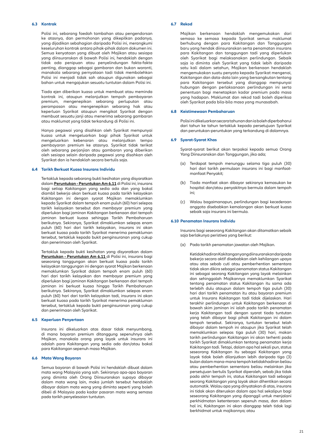#### **6.3 Kontrak**

Polisi ini, sebarang faedah tambahan atau pengendorsan ke atasnya, dan permohonan yang dikepilkan padanya, yang dijadikan sebahagian daripada Polisi ini, merangkumi keseluruhan kontrak antara pihak-pihak dalam dokumen ini. Semua kenyataan yang dibuat oleh Majikan atau sesiapa yang diinsuranskan di bawah Polisi ini, hendaklah dengan tidak ada penipuan atau penyelindungan fakta-fakta penting, dianggap sebagai gambaran dan bukan waranti, manakala sebarang pernyataan tadi tidak membolehkan Polisi ini menjadi tidak sah ataupun digunakan sebagai bahan untuk mengajukan sesuatu tuntutan dalam Polisi ini.

Tiada ejen diberikan kuasa untuk membuat atau meminda kontrak ini, ataupun melanjutkan tempoh pembayaran premium, mengenepikan sebarang perluputan atau perampasan atau mengenepikan sebarang hak atau keperluan Syarikat ataupun mengikat Syarikat dengan membuat sesuatu janji atau menerima sebarang gambaran atau maklumat yang tidak terkandung di Polisi ini.

Hanya pegawai yang disahkan oleh Syarikat mempunyai kuasa untuk mengeluarkan bagi pihak Syarikat untuk mengeluarkan kebenaran atau melanjutkan tempo pembayaran premium ke atasnya. Syarikat tidak terikat oleh sebarang perjanjian atau gambaran yang diberikan oleh sesiapa selain daripada pegawai yang disahkan oleh Syarikat dan ia hendaklah secara bertulis saja.

#### **6.4 Tarikh Berkuat Kuasa Insurans Individu**

 Tertakluk kepada sebarang bukti kesihatan yang disyaratkan dalam **Peruntukan - Peruntukan Am 6.11** di Polisi ini, insurans bagi setiap Kakitangan yang sedia ada dan yang bakal diambil bekerja akan berkuat kuasa pada tarikh kelayakan Kakitangan ini dengan syarat Majikan memaklumkan kepada Syarikat dalam tempoh enam puluh (60) hari selepas tarikh kelayakan tersebut dan membayar premium yang diperlukan bagi jaminan Kakitangan berkenaan dari tempoh jaminan berkuat kuasa sehingga Tarikh Pembaharuan berikutnya. Sekiranya, Syarikat dimaklumkan selepas enam puluh (60) hari dari tarikh kelayakan, insurans ini akan berkuat kuasa pada tarikh Syarikat menerima pemakluman tersebut, tertakluk kepada bukit penginsuranan yang cukup dan penerimaan oleh Syarikat.

 Tertakluk kepada bukti kesihatan yang disyaratkan dalam **Peruntukan - Peruntukan Am 6.11** di Polisi ini, insurans bagi seseorang tanggungan akan berkuat kuasa pada tarikh kelayakan tanggungan ini dengan syarat Majikan berkenaan memaklumkan Syarikat dalam tempoh enam puluh (60) hari dari tarikh kelayakan dan membayar premium yang diperlukan bagi jaminan Kakitangan berkenaan dari tempoh jaminan ini berkuat kuasa hingga Tarikh Pembaharuan berikutnya. Sekiranya, Syarikat dimaklumkan selepas enam puluh (60) hari dari tarikh kelayakan tadi, insurans ini akan berkuat kuasa pada tarikh Syarikat menerima pemakluman tersebut, tertakluk kepada bukti penginsuranan yang cukup dan penerimaan oleh Syarikat.

#### **6.5 Keperluan Penyertaan**

 Insurans ini dikeluarkan atas dasar tidak menyumbang, di mana bayaran premium ditanggung sepenuhnya oleh Majikan, manakala orang yang layak untuk insurans ini adalah para Kakitangan yang sedia ada dan/atau bakal para Kakitangan sepenuh masa Majikan.

#### **6.6 Mata Wang Bayaran**

 Semua bayaran di bawah Polisi ini hendaklah dibuat dalam mata wang Malaysia yang sah. Sekiranya apa-apa bayaran yang diminta oleh Orang Diinsuranskan supaya dibayar dalam mata wang lain, maka jumlah tersebut hendaklah dibayar dalam mata wang yang diminta seperti yang boleh dibeli di Malaysia pada kadar pasaran mata wang semasa pada tarikh penyelesaian tuntutan.

#### **6.7 Rekod**

Majikan berkenaan hendaklah mengemukakan dari semasa ke semasa kepada Syarikat semua maklumat berhubung dengan para Kakitangan dan Tanggungan baru yang hendak diinsuranskan serta penamatan insurans para Kakitangan dan tanggungan tadi yang diperlukan oleh Syarikat bagi melaksanakan perlindungan. Sebaik saja ia diminta oleh Syarikat yang tidak lebih daripada satu kali dalam setahun, Majikan berkenaan hendaklah mengemukakan suatu penyata kepada Syarikat mengenai, Kakitangan dan data-data lain yang bersangkutan tentang para Kakitangan tersebut yang dianggap mempunyai hubungan dengan perlaksanaan perlindungan ini serta penentuan bagi menetapkan kadar premium pada masa yang hadapan. Maklumat dan rekod tadi boleh diperiksa oleh Syarikat pada bila-bila masa yang munasabah.

#### **6.8 Keistimewaan Pembaharuan**

 Polisi ini dikeluarkan secara tahunan dan ia boleh diperbaharui dari tahun ke tahun tertakluk kepada persetujuan Syarikat dan peruntukan-peruntukan yang terkandung di dalamnya.

#### **6.9 Syarat-Syarat Khas**

 Syarat-syarat berikut akan terpakai kepada semua Orang Yang Diinsuranskan dan Tanggungan, jika ada;

- (a) Terdapat tempoh menunggu selama tiga puluh (30) hari dari tarikh permulaan insurans ini bagi manfaatmanfaat Penyakit;
- (b) Tiada manfaat akan dibayar sekiranya kemasukan ke hospital dan/atau penyakitnya bermula dalam tempoh ini;
- (c) Walau bagaimanapun, perlindungan bagi kecederaan anggota disebabkan kemalangan akan berkuat kuasa sebaik saja insurans ini bermula.

#### **6.10 Penamatan Insurans Individu**

 Insurans bagi seseorang Kakitangan akan ditamatkan sebaik saja berlakunya peristiwa yang berikut:

(a) Pada tarikh penamatan jawatan oleh Majikan.

Ketidakhadiran Kakitangan yang diinsuranskan daripada bekerja secara aktif disebabkan oleh kehilangan upaya atau atas sebab cuti atau pemberhentian sementara tidak akan dikira sebagai penamatan status Kakitangan ini sebagai seorang Kakitangan yang layak melainkan dan sehinggalah Majikannya memaklumkan Syarikat tentang penamatan status Kakitangan itu sama ada terlebih dulu ataupun dalam tempoh tiga puluh (30) hari dari tarikh penamatan itu atau bayaran premium untuk Insurans Kakitangan tadi tidak dijelaskan. Hari terakhir perlindungan untuk Kakitangan berkenaan di bawah skim jaminan ini ialah pada tarikh penamatan kerja Kakitangan tadi dengan syarat tiada tuntutan yang telah dibayar bagi pihak Kakitangan ini dalam tempoh tersebut. Sekiranya, tuntutan tersebut telah dibayar dalam tempoh ini ataupun jika Syarikat telah memaklumkan selepas tiga puluh (30) hari, makan tarikh perlindungan Kakitangan ini akan terhenti pada tarikh Syarikat dimaklumkan tentang penamatan kerja Kakitangan tadi. Tetapi, dalam apa hal sekali pun, status seseorang Kakitangan itu sebagai Kakitangan yang layak tidak boleh dilanjutkan lebih daripada tiga (3) bulan dalam mana-mana tempoh ketidakhadiran beliau atau pemberhentian sementara beliau melainkan jika persetujuan bertulis Syarikat diperoleh, sebab jika tidak pada akhir tempoh ini, status Kakitangan tadi sebagai seorang Kakitangan yang layak akan dihentikan secara automatik. Walau apa yang dinyatakan di atas, insurans ini tidak akan diteruskan dalam apa hal sekalipun bagi seseorang Kakitangan yang dipanggil untuk menjalani perkhidmatan ketenteraan sepenuh masa, dan dalam hal ini, Kakitangan ini akan dianggap teleh tidak lagi berkhidmat untuk majikannya; atau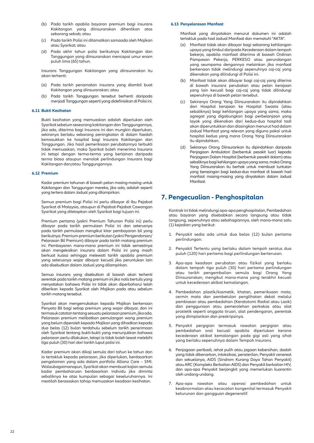- (b) Pada tarikh apabila bayaran premium bagi insurans Kakitangan yang diinsuranskan dihentikan atas sebarang sebab; atau
- (c) Pada tarikh Polisi ini ditamatkan samaada oleh Majikan atau Syarikat; atau
- (d) Pada akhir tahun polisi berikutnya Kakitangan dan Tanggungan yang diinsuranskan mencapai umur enam puluh lima (65) tahun.

 Insurans Tanggungan Kakitangan yang diinsuranskan itu akan terhenti:

- (a) Pada tarikh penamatan insurans yang diambil buat Kakitangan yang diinsuranskan; atau
- (b) Pada tarikh Tanggungan tersebut berhenti daripada menjadi Tanggungan seperti yang didefinisikan di Polisi ini.

#### **6.11 Bukti Kesihatan**

 Bukti kesihatan yang memuaskan adalah diperlukan oleh Syarikat sebelum seseorang kakitangan dan Tanggungannya, jika ada, diterima bagi Insurans ini dan mungkin diperlukan, sekiranya berlaku sebarang peningkatan di dalam faedah kemasukkan ke hospital bagi Insurans Kakitangan dan Tanggungan. Jika hasil pemeriksaan perubatannya terbukti tidak memuaskan, maka Syarikat boleh menerima Insurans ini tetapi dengan terma-terma yang berlainan daripada terma biasa ataupun menolak perlindungan Insurans bagi Kakitangan dan/atau Tanggungannya.

#### **6.12 Premium**

Kadar premium tahunan di bawah pelan masing-masing untuk Kakitangan dan Tanggungan mereka, jika ada, adalah seperti yang tertera dalam Jadual yang dilampirkan.

 Semua premium bagi Polisi ini perlu dibayar di Ibu Pejabat Syarikat di Malaysia, ataupun di Pejabat-Pejabat Cawangan Syarikat yang ditetapkan oleh Syarikat bagi tujuan ini.

 Premium pertama (yakni Premium Tahunan Polisi ini) perlu dibayar pada tarikh permulaan Polisi ini dan seterusnya pada tarikh permulaan mengikut kitar pembayaran bil yang berikutnya. Premium-premium berikutan (yakni Pengendorsan/ Pelarasan Bil Premium) dibayar pada tarikh matang premium ini. Pembayaran mana-mana premium ini tidak semestinya akan mengekalkan insurans dalam Polisi ini yang masih berkuat kuasa sehingga melewati tarikh apabila premium yang seterusnya wajar dibayar kecuali jika peruntukan lain ada disebutkan dalam Jadual yang dilampirkan.

 Semua insurans yang disebutkan di bawah akan terhenti serentak pada tarikh matang premium ini jika notis bertulis yang menyatakan bahawa Polisi ini tidak akan diperbaharui telah diberikan kepada Syarikat oleh Majikan pada atau sebelum tarikh matang tersebut.

Syarikat akan mengemukakan kepada Majikan berkenaan Penyata Bil bagi setiap premium yang wajar dibayar, dan ini termasuk catatan tentang sesuatu pelarasan premium, jika ada. Pelarasan premium melibatkan pemulangan wang premium yang belum diperoleh kepada Majikan yang dihadkan kepada dua belas (12) bulan terdahulu sebelum tarikh penerimaan oleh Syarikat tentang bukti-bukti yang menunjukkan bahawa pelarasan perlu dilakukan, tetapi ia tidak boleh lewat melebihi tiga puluh (30) hari dari tarikh luput polisi ini.

 Kadar premium akan dikaji semula dari tahun ke tahun dan ia tertakluk kepada pelarasan, jika diperlukan, berdasarkan pengalaman yang ada dalam portfolio Allianz Care – SMI. Walaubagaimanapun, Syarikat akan membuat kajian semula kadar pembaharuan berdasarkan individu jika diminta sebaliknya ke atas kumpulan sebagai keseluruhannya. Ini mestilah berasaskan tahap memuaskan keadaan kesihatan.

#### **6.13 Penyelarasan Manfaat**

Manfaat yang dinyatakan menurut dokumen ini adalah tertakluk pada had Jadual Manfaat dan mematuhi "AKTA".

- (a) Manfaat tidak akan dibayar bagi sebarang kehilangan upaya yang timbul daripada Kecederaan dalam tempoh bekerja, apabila manfaat diterima di bawah Ordinan Pampasan Pekerja, PERKESO atau perundangan yang seumpama dengannya melainkan jika manfaat berkenaan tidak melindungi sepenuhnya caj-caj yang dikenakan yang dilindungi di Polisi ini.
- (b) Manfaat tidak akan dibayar bagi caj-caj yang diterina di bawah insurans perubatan atau pelan kerajaan yang lain kecuali bagi caj-caj yang tidak dilindungi sepenuhnya di bawah pelan tersebut.
- (c) Sekiranya Orang Yang Diinsuranskan itu dipindahkan dari Hospital kerajaan ke Hospital Swasta (atau sebaliknya) bagi kehilangan upaya yang sama, maka agregat yang digabungkan bagi perbelanjaan yang layak yang dikenakan dari kedua-dua hospital tadi akan diperuntukkan dan diasingkan menurut had dalam Jadual Manfaat yang relevan yang diguna pakai untuk hospital kedua yang mana Orang Yang Diinsuranskan itu dipindahkan.
- (d) Sekiranya Orang Diinsurankan itu dipindahkan daripada Penjagaan Ambulatori (berbentuk pesakit luar) kepada Penjagaan Dalam Hospital (berbentuk pesakit dalam) atau sebaliknya bagi kehilangan upaya yang sama, maka Orang Yang Diinsuranskan itu berhak untuk membuat tuntutan yang berasingan bagi kedua-dua manfaat di bawah had manfaat masing-masing yang dinyatakan dalam Jadual Manfaat.

### **7. Pengecualian - Penghospitalan**

 Kontrak ini tidak melindungi apa-apa penghospitalan, Pembedahan atau bayaran yang disebabkan secara langsung atau tidak langsung, sepenuhnya atau sebahagiannya, oleh mana-mana satu (1) kejadian yang berikut:

- 1. Penyakit sedia ada untuk dua belas (12) bulan pertama perlindungan.
- 2. Penyakit Tertentu yang berlaku dalam tempoh seratus dua puluh (120) hari pertama bagi perlindungan berterusan.
- 3. Apa-apa keadaan perubatan atau fizikal yang berlaku dalam tempoh tiga puluh (30) hari pertama perlindungan atau tarikh pengembalian semula bagi Orang Yang Diinsuranskan, mengikut mana-mana yang terakhir kecuali untuk kecederaan akibat kemalangan.
- 4. Pembedahan plastik/kosmetik, khatan, pemeriksaan mata, cermin mata dan pembetulan penglihatan dekat melalui pembiasan atau pembedahan (Keratotomi Radial atau Lasik) dan penggunaan atau pemerolehan perkakas atau alat prostetik seperti anggota tiruan, alat pendengaran, perentak yang diimplankan dan preskripsinya.
- 5. Penyakit pergigian termasuk rawatan pergigian atau pembedahan oral kecuali apabila diperlukan kerana kecederaan akibat kemalangan pada gigi asli yang sihat yang berlaku sepenuhnya dalam Tempoh Insurans.
- 6. Penjagaan peribadi, rehat pulih atau jagaan kebersihan, dadah yang tidak dibenarkan, intoksikasi, pensterilan, Penyakit venereal dan sekuelanya, AIDS (Sindrom Kurang Daya Tahan Penyakit) atau ARC (Kompleks Berkaitan AIDS) dan Penyakit berkaitan HIV, dan apa-apa Penyakit berjangkit yang memerlukan kuarantin oleh undang-undang.
- 7. Apa-apa rawatan atau operasi pembedahan untuk keabnormalan atau kecacatan kongenital termasuk Penyakit keturunan dan gangguan degeneratif.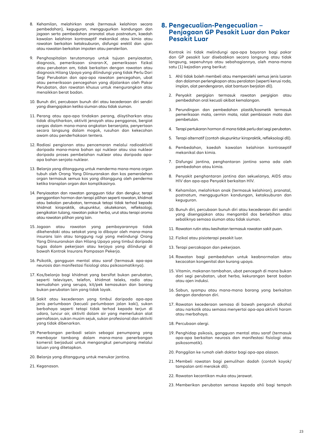- 8. Kehamilan, melahirkan anak (termasuk kelahiran secara pembedahan), keguguran, menggugurkan kandungan dan jagaan serta pembedahan pranatal atua postnatum, kaedah kawalan kelahiran kontraseptif mekanikal atau kimia atau rawatan berkaitan ketaksuburan, disfungsi erektil dan ujian atau rawatan berkaitan impoten atau pensterilan.
- 9. Penghospitalan terutamanya untuk tujuan penyiasatan, diagnosis, pemeriksaan sinaran-X, pemeriksaan fizikal atau perubatan am, tidak berkaitan dengan rawatan atau diagnosis Hilang Upaya yang dilindungi yang tidak Perlu Dari Segi Perubatan dan apa-apa rawatan pencegahan, ubat atau pemeriksaan pencegahan yang dijalankan oleh Pakar Perubatan, dan rawatan khusus untuk mengurangkan atau menaikkan berat badan.
- 10. Bunuh diri, percubaan bunuh diri atau kecederaan diri sendiri yang disengajakan ketika siuman atau tidak siuman.
- 11. Perang atau apa-apa tindakan perang, diisytiharkan atau tidak diisytiharkan, aktiviti jenayah atau pengganas, bergiat cergas dalam mana-mana angkatan bersenjata, penyertaan secara langsung dalam mogok, rusuhan dan kekecohan awam atau penderhakaan tentera.
- 12. Radiasi pengionan atau pencemaran melalui radioaktiviti daripada mana-mana bahan api nuklear atau sisa nuklear daripada proses pembelahan nuklear atau daripada apaapa bahan senjata nuklear.
- 13. Belanja yang ditanggung untuk menderma mana-mana organ tubuh oleh Orang Yang Diinsuranskan dan kos pemerolehan organ termasuk semua kos yang ditanggung oleh penderma ketika transplan organ dan komplikasinya.
- 14. Penyiasatan dan rawatan gangguan tidur dan dengkur, terapi penggantian hormon dan terapi pilihan seperti rawatan, khidmat atau bekalan perubatan, termasuk tetapi tidak terhad kepada khidmat kiropraktik, akupunktur, akutekanan, refleksologi, pengikatan tulang, rawatan pakar herba, urut atau terapi aroma atau rawatan pilihan yang lain.
- 15. Jagaan atau rawatan yang pembayarannya tidak dikehendaki atau setakat yang ia dibayar oleh mana-mana insurans lain atau tanggung rugi yang melindungi Orang Yang Diinsuranskan dan Hilang Upaya yang timbul daripada tugas dalam pekerjaan atau kerjaya yang dilindungi di bawah Kontrak Insurans Pampasan Pekerja.
- 16. Psikotik, gangguan mental atau saraf (termasuk apa-apa neurosis dan manifestasi fisiologi atau psikosomatiknya).
- 17. Kos/belanja bagi khidmat yang bersifat bukan perubatan, seperti televisyen, telefon, khidmat teleks, radio atau kemudahan yang serupa, kit/pek kemasukan dan barang bukan perubatan lain yang tidak layak.
- 18. Sakit atau kecederaan yang timbul daripada apa-apa jenis perlumbaan (kecuali perlumbaan jalan kaki), sukan berbahaya seperti tetapi tidak terhad kepada terjun di udara, luncur air, aktiviti dalam air yang memerlukan alat pernafasan, sukan musim sejuk, sukan profesional dan aktiviti yang tidak dibenarkan.
- 19. Penerbangan peribadi selain sebagai penumpang yang membayar tambang dalam mana-mana penerbangan komersil berjadual untuk mengangkut penumpang melalui laluan yang ditetapkan.
- 20. Belanja yang ditanggung untuk menukar jantina.
- 21. Keganasan.

### **8. Pengecualian-Pengecualian – Penjagaan GP Pesakit Luar dan Pakar Pesakit Luar**

 Kontrak ini tidak melindungi apa-apa bayaran bagi pakar dan GP pesakit luar disebabkan secara langsung atau tidak langsung, sepenuhnya atau sebahagiannya, oleh mana-mana satu (1) kejadian yang berikut:

- 1. Ahli tidak boleh membeli atau memperolehi semua jenis luaran dan dalaman perlengkapan atau peralatan (seperti kerusi roda, implan, alat pendengaran, alat bantuan berjalan dll).
- 2. Penyakit pergigian termasuk rawatan pergigian atau pembedahan oral kecuali akibat kemalangan.
- 3. Perundingan dan pembedahan plastik/kosmetik termasuk pemeriksaan mata, cermin mata, ralat pembiasan mata dan pembetulan.
- 4. Terapi pertukaran hormon di mana tidak perlu dari segi perubatan.
- 5. Terapi alternatif (contoh akupunktur kiropraktik, refleksologi dll).
- 6. Pembedahan, kaedah kawalan kelahiran kontraseptif mekanikal dan kimia.
- 7. Disfungsi jantina, penghantaran jantina sama ada oleh pembedahan atau kimia.
- 8. Penyakit penghantaran jantina dan sekuelanya, AIDS atau HIV dan apa-apa Penyakit berkaitan HIV.
- 9. Kehamilan, melahirkan anak (termasuk kelahiran), pranatal, postnatum, menggugurkan kandungan, ketaksuburan dan keguguran.
- 10. Bunuh diri, percubaan bunuh diri atau kecederaan diri sendiri yang disengajakan atau mengambil dos berlebihan atau sebaliknya semasa siuman atau tidak siuman.
- 11. Rawatan rutin atau kesihatan termasuk rawatan sakit puan.
- 12. Fizikal atau pisioterapi pesakit luar.
- 13. Terapi percakapan dan pekerjaan.
- 14. Rawatan bagi pembedahan untuk keabnormalan atau kecacatan kongenital dan kurang upaya.
- 15. Vitamin, makanan tambahan, ubat pencegah di mana bukan dari segi perubatan, ubat herba, kekurangan berat badan atau ajen induksi.
- 16. Sabun, syampu atau mana-mana barang yang berkaitan dengan dandanan diri.
- 17. Rawatan kecederaan semasa di bawah pengaruh alkohol atau narkotik atau semasa menyertai apa-apa aktiviti haram atau merbahaya.
- 18. Percubaan alergi.
- 19. Penghidap psikosis, gangguan mental atau saraf (termasuk apa-apa berkaitan neurosis dan manifestasi fisiologi atau psikosomatik).
- 20. Panggilan ke rumah oleh doktor bagi apa-apa alasan.
- 21. Membeli rawatan bagi pemulihan dadah (contoh koyok/ tampalan anti merokok dll).
- 22. Rawatan kecantikan muka atau jerawat.
- 23. Memberikan perubatan semasa kepada ahli bagi tempoh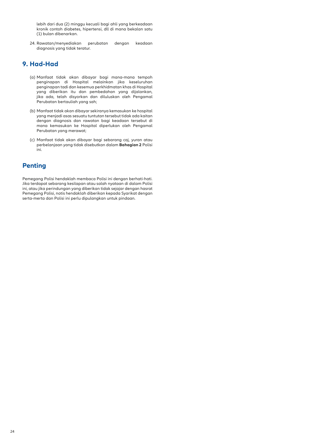lebih dari dua (2) minggu kecuali bagi ahli yang berkeadaan kronik contoh diabetes, hipertensi, dll di mana bekalan satu (1) bulan dibenarkan.

24. Rawatan/menyediakan perubatan dengan keadaan diagnosis yang tidak teratur.

### **9. Had-Had**

- (a) Manfaat tidak akan dibayar bagi mana-mana tempoh penginapan di Hospital melainkan jika keseluruhan penginapan tadi dan kesemua perkhidmatan khas di Hospital yang diberikan itu dan pembedahan yang dijalankan, jika ada, telah disyorkan dan diluluskan oleh Pengamal Perubatan bertauliah yang sah;
- (b) Manfaat tidak akan dibayar sekiranya kemasukan ke hospital yang menjadi asas sesuatu tuntutan tersebut tidak ada kaitan dengan diagnosis dan rawatan bagi keadaan tersebut di mana kemasukan ke Hospital diperlukan oleh Pengamal Perubatan yang merawat;
- (c) Manfaat tidak akan dibayar bagi sebarang caj, yuran atau perbelanjaan yang tidak disebutkan dalam **Bahagian 2** Polisi ini.

### **Penting**

Pemegang Polisi hendaklah membaca Polisi ini dengan berhati-hati. Jika terdapat sebarang kesilapan atau salah nyataan di dalam Polisi ini, atau jika perindungan yang diberikan tidak sejajar dengan hasrat Pemegang Polisi, notis hendaklah diberikan kepada Syarikat dengan serta-merta dan Polisi ini perlu dipulangkan untuk pindaan.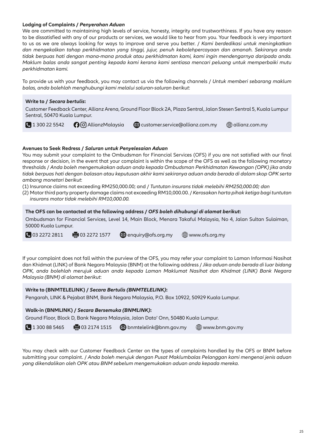### **Lodging of Complaints /** *Penyerahan Aduan*

We are committed to maintaining high levels of service, honesty, integrity and trustworthiness. If you have any reason to be dissatisfied with any of our products or services, we would like to hear from you. Your feedback is very important to us as we are always looking for ways to improve and serve you better. / *Kami berdedikasi untuk meningkatkan dan mengekalkan tahap perkhidmatan yang tinggi, jujur, penuh kebolehpercayaan dan amanah. Sekiranya anda tidak berpuas hati dengan mana-mana produk atau perkhidmatan kami, kami ingin mendengarnya daripada anda. Maklum balas anda sangat penting kepada kami kerana kami sentiasa mencari peluang untuk memperbaiki mutu perkhidmatan kami.*

To provide us with your feedback, you may contact us via the following channels / *Untuk memberi sebarang maklum balas, anda bolehlah menghubungi kami melalui saluran-saluran berikut*:

#### **Write to /** *Secara bertulis***:**

Customer Feedback Center, Allianz Arena, Ground Floor Block 2A, Plaza Sentral, Jalan Stesen Sentral 5, Kuala Lumpur Sentral, 50470 Kuala Lumpur.

**1** 300 22 5542 **AllianzMalaysia customer.service@allianz.com.my com.my** allianz.com.my

### **Avenues to Seek Redress /** *Saluran untuk Penyelesaian Aduan*

You may submit your complaint to the Ombudsman for Financial Services (OFS) if you are not satisfied with our final response or decision, in the event that your complaint is within the scope of the OFS as well as the following monetary thresholds / *Anda boleh mengemukakan aduan anda kepada Ombudsman Perkhidmatan Kewangan (OPK) jika anda tidak berpuas hati dengan balasan atau keputusan akhir kami sekiranya aduan anda berada di dalam skop OPK serta ambang monetari berikut*:

(1) Insurance claims not exceeding RM250,000.00; and / *Tuntutan insurans tidak melebihi RM250,000.00; dan*

(2) Motor third party property damage claims not exceeding RM10,000.00. / *Kerosakan harta pihak ketiga bagi tuntutan insurans motor tidak melebihi RM10,000.00.*

**The OFS can be contacted at the following address /** *OFS boleh dihubungi di alamat berikut***:**

Ombudsman for Financial Services, Level 14, Main Block, Menara Takaful Malaysia, No 4, Jalan Sultan Sulaiman, 50000 Kuala Lumpur.

 $\bigcirc$  03 2272 2811  $\bigcirc$  03 2272 1577  $\bigcirc$  enquiry@ofs.org.my  $\bigcirc$  www.ofs.org.my

If your complaint does not fall within the purview of the OFS, you may refer your complaint to Laman Informasi Nasihat dan Khidmat (LINK) of Bank Negara Malaysia (BNM) at the following address / *Jika aduan anda berada di luar bidang OPK, anda bolehlah merujuk aduan anda kepada Laman Maklumat Nasihat dan Khidmat (LINK) Bank Negara Malaysia (BNM) di alamat berikut*:

#### **Write to (BNMTELELINK) /** *Secara Bertulis (BNMTELELINK)***:**

Pengarah, LINK & Pejabat BNM, Bank Negara Malaysia, P.O. Box 10922, 50929 Kuala Lumpur.

#### **Walk-in (BNMLINK) /** *Secara Bersemuka (BNMLINK)***:**

Ground Floor, Block D, Bank Negara Malaysia, Jalan Dato' Onn, 50480 Kuala Lumpur.

 $\bigcup$  1 300 88 5465  $\bigoplus$  03 2174 1515  $\bigotimes$  bnmtelelink@bnm.gov.my  $\bigoplus$  www.bnm.gov.my

You may check with our Customer Feedback Center on the types of complaints handled by the OFS or BNM before submitting your complaint. / *Anda boleh merujuk dengan Pusat Maklumbalas Pelanggan kami mengenai jenis aduan yang dikendalikan oleh OPK atau BNM sebelum mengemukakan aduan anda kepada mereka.*